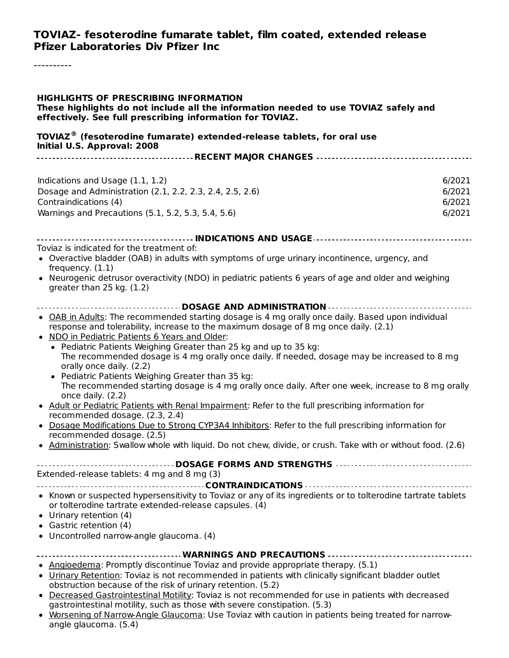#### **TOVIAZ- fesoterodine fumarate tablet, film coated, extended release Pfizer Laboratories Div Pfizer Inc**

----------

#### **HIGHLIGHTS OF PRESCRIBING INFORMATION**

**These highlights do not include all the information needed to use TOVIAZ safely and effectively. See full prescribing information for TOVIAZ.**

#### **TOVIAZ (fesoterodine fumarate) extended-release tablets, for oral use ®Initial U.S. Approval: 2008**

| Initial U.S. Approval: 2008                                                                                                                                                                                                                                                                                                                                                                                                                                                                                                                                                                                                                                                                                                       |                            |
|-----------------------------------------------------------------------------------------------------------------------------------------------------------------------------------------------------------------------------------------------------------------------------------------------------------------------------------------------------------------------------------------------------------------------------------------------------------------------------------------------------------------------------------------------------------------------------------------------------------------------------------------------------------------------------------------------------------------------------------|----------------------------|
|                                                                                                                                                                                                                                                                                                                                                                                                                                                                                                                                                                                                                                                                                                                                   |                            |
| Indications and Usage (1.1, 1.2)<br>Dosage and Administration (2.1, 2.2, 2.3, 2.4, 2.5, 2.6)<br>Contraindications (4)                                                                                                                                                                                                                                                                                                                                                                                                                                                                                                                                                                                                             | 6/2021<br>6/2021<br>6/2021 |
| Warnings and Precautions (5.1, 5.2, 5.3, 5.4, 5.6)                                                                                                                                                                                                                                                                                                                                                                                                                                                                                                                                                                                                                                                                                | 6/2021                     |
|                                                                                                                                                                                                                                                                                                                                                                                                                                                                                                                                                                                                                                                                                                                                   |                            |
|                                                                                                                                                                                                                                                                                                                                                                                                                                                                                                                                                                                                                                                                                                                                   |                            |
| Toviaz is indicated for the treatment of:<br>• Overactive bladder (OAB) in adults with symptoms of urge urinary incontinence, urgency, and<br>frequency. $(1.1)$<br>• Neurogenic detrusor overactivity (NDO) in pediatric patients 6 years of age and older and weighing<br>greater than 25 kg. (1.2)                                                                                                                                                                                                                                                                                                                                                                                                                             |                            |
|                                                                                                                                                                                                                                                                                                                                                                                                                                                                                                                                                                                                                                                                                                                                   |                            |
| • OAB in Adults: The recommended starting dosage is 4 mg orally once daily. Based upon individual<br>response and tolerability, increase to the maximum dosage of 8 mg once daily. (2.1)<br>. NDO in Pediatric Patients 6 Years and Older:<br>• Pediatric Patients Weighing Greater than 25 kg and up to 35 kg:<br>The recommended dosage is 4 mg orally once daily. If needed, dosage may be increased to 8 mg<br>orally once daily. (2.2)<br>• Pediatric Patients Weighing Greater than 35 kg:<br>The recommended starting dosage is 4 mg orally once daily. After one week, increase to 8 mg orally<br>once daily. (2.2)<br>• Adult or Pediatric Patients with Renal Impairment: Refer to the full prescribing information for |                            |
| recommended dosage. (2.3, 2.4)                                                                                                                                                                                                                                                                                                                                                                                                                                                                                                                                                                                                                                                                                                    |                            |
| . Dosage Modifications Due to Strong CYP3A4 Inhibitors: Refer to the full prescribing information for<br>recommended dosage. (2.5)                                                                                                                                                                                                                                                                                                                                                                                                                                                                                                                                                                                                |                            |
| • Administration: Swallow whole with liquid. Do not chew, divide, or crush. Take with or without food. (2.6)                                                                                                                                                                                                                                                                                                                                                                                                                                                                                                                                                                                                                      |                            |
| Extended-release tablets: 4 mg and 8 mg (3)                                                                                                                                                                                                                                                                                                                                                                                                                                                                                                                                                                                                                                                                                       |                            |
|                                                                                                                                                                                                                                                                                                                                                                                                                                                                                                                                                                                                                                                                                                                                   |                            |
| • Known or suspected hypersensitivity to Toviaz or any of its ingredients or to tolterodine tartrate tablets<br>or tolterodine tartrate extended-release capsules. (4)<br>• Urinary retention (4)<br>• Gastric retention (4)<br>• Uncontrolled narrow-angle glaucoma. (4)                                                                                                                                                                                                                                                                                                                                                                                                                                                         |                            |
|                                                                                                                                                                                                                                                                                                                                                                                                                                                                                                                                                                                                                                                                                                                                   |                            |
| • Angioedema: Promptly discontinue Toviaz and provide appropriate therapy. (5.1)<br>. Urinary Retention: Toviaz is not recommended in patients with clinically significant bladder outlet<br>obstruction because of the risk of urinary retention. (5.2)                                                                                                                                                                                                                                                                                                                                                                                                                                                                          |                            |
| • Decreased Gastrointestinal Motility: Toviaz is not recommended for use in patients with decreased<br>gastrointestinal motility, such as those with severe constipation. (5.3)                                                                                                                                                                                                                                                                                                                                                                                                                                                                                                                                                   |                            |
| • Worsening of Narrow-Angle Glaucoma: Use Toviaz with caution in patients being treated for narrow-<br>angle glaucoma. (5.4)                                                                                                                                                                                                                                                                                                                                                                                                                                                                                                                                                                                                      |                            |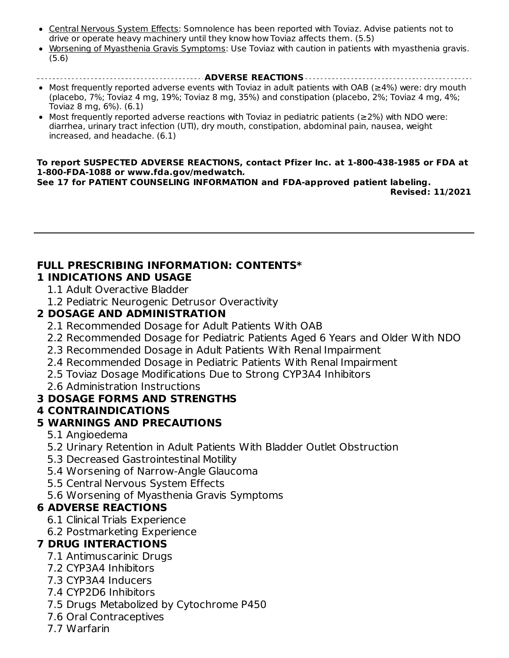- Central Nervous System Effects: Somnolence has been reported with Toviaz. Advise patients not to drive or operate heavy machinery until they know how Toviaz affects them. (5.5)
- Worsening of Myasthenia Gravis Symptoms: Use Toviaz with caution in patients with myasthenia gravis. (5.6)

#### **ADVERSE REACTIONS**

- Most frequently reported adverse events with Toviaz in adult patients with OAB (≥4%) were: dry mouth (placebo, 7%; Toviaz 4 mg, 19%; Toviaz 8 mg, 35%) and constipation (placebo, 2%; Toviaz 4 mg, 4%; Toviaz 8 mg, 6%). (6.1)
- Most frequently reported adverse reactions with Toviaz in pediatric patients (≥2%) with NDO were: diarrhea, urinary tract infection (UTI), dry mouth, constipation, abdominal pain, nausea, weight increased, and headache. (6.1)

#### **To report SUSPECTED ADVERSE REACTIONS, contact Pfizer Inc. at 1-800-438-1985 or FDA at 1-800-FDA-1088 or www.fda.gov/medwatch.**

**See 17 for PATIENT COUNSELING INFORMATION and FDA-approved patient labeling. Revised: 11/2021**

#### **FULL PRESCRIBING INFORMATION: CONTENTS\* 1 INDICATIONS AND USAGE**

- 1.1 Adult Overactive Bladder
- 1.2 Pediatric Neurogenic Detrusor Overactivity

#### **2 DOSAGE AND ADMINISTRATION**

- 2.1 Recommended Dosage for Adult Patients With OAB
- 2.2 Recommended Dosage for Pediatric Patients Aged 6 Years and Older With NDO
- 2.3 Recommended Dosage in Adult Patients With Renal Impairment
- 2.4 Recommended Dosage in Pediatric Patients With Renal Impairment
- 2.5 Toviaz Dosage Modifications Due to Strong CYP3A4 Inhibitors
- 2.6 Administration Instructions

# **3 DOSAGE FORMS AND STRENGTHS**

#### **4 CONTRAINDICATIONS**

# **5 WARNINGS AND PRECAUTIONS**

- 5.1 Angioedema
- 5.2 Urinary Retention in Adult Patients With Bladder Outlet Obstruction
- 5.3 Decreased Gastrointestinal Motility
- 5.4 Worsening of Narrow-Angle Glaucoma
- 5.5 Central Nervous System Effects
- 5.6 Worsening of Myasthenia Gravis Symptoms

# **6 ADVERSE REACTIONS**

- 6.1 Clinical Trials Experience
- 6.2 Postmarketing Experience

# **7 DRUG INTERACTIONS**

- 7.1 Antimuscarinic Drugs
- 7.2 CYP3A4 Inhibitors
- 7.3 CYP3A4 Inducers
- 7.4 CYP2D6 Inhibitors
- 7.5 Drugs Metabolized by Cytochrome P450
- 7.6 Oral Contraceptives
- 7.7 Warfarin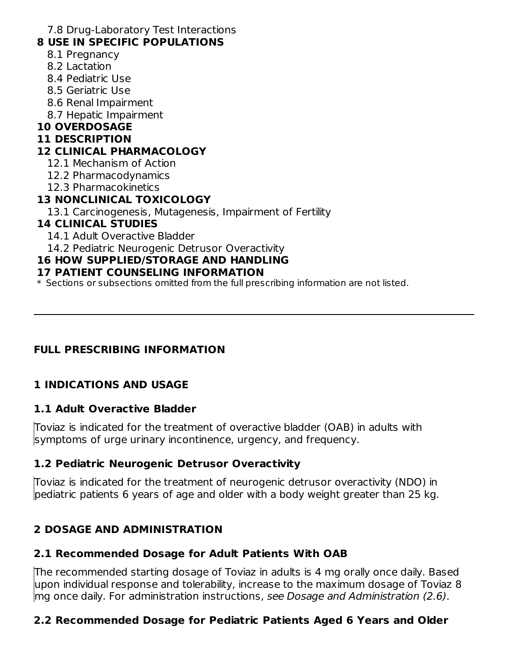7.8 Drug-Laboratory Test Interactions

### **8 USE IN SPECIFIC POPULATIONS**

- 8.1 Pregnancy
- 8.2 Lactation
- 8.4 Pediatric Use
- 8.5 Geriatric Use
- 8.6 Renal Impairment
- 8.7 Hepatic Impairment

# **10 OVERDOSAGE**

### **11 DESCRIPTION**

### **12 CLINICAL PHARMACOLOGY**

- 12.1 Mechanism of Action
- 12.2 Pharmacodynamics
- 12.3 Pharmacokinetics

# **13 NONCLINICAL TOXICOLOGY**

13.1 Carcinogenesis, Mutagenesis, Impairment of Fertility

# **14 CLINICAL STUDIES**

- 14.1 Adult Overactive Bladder
- 14.2 Pediatric Neurogenic Detrusor Overactivity

# **16 HOW SUPPLIED/STORAGE AND HANDLING**

### **17 PATIENT COUNSELING INFORMATION**

\* Sections or subsections omitted from the full prescribing information are not listed.

# **FULL PRESCRIBING INFORMATION**

# **1 INDICATIONS AND USAGE**

# **1.1 Adult Overactive Bladder**

Toviaz is indicated for the treatment of overactive bladder (OAB) in adults with symptoms of urge urinary incontinence, urgency, and frequency.

# **1.2 Pediatric Neurogenic Detrusor Overactivity**

Toviaz is indicated for the treatment of neurogenic detrusor overactivity (NDO) in pediatric patients 6 years of age and older with a body weight greater than 25 kg.

# **2 DOSAGE AND ADMINISTRATION**

# **2.1 Recommended Dosage for Adult Patients With OAB**

The recommended starting dosage of Toviaz in adults is 4 mg orally once daily. Based upon individual response and tolerability, increase to the maximum dosage of Toviaz 8 mg once daily. For administration instructions, see Dosage and Administration (2.6).

# **2.2 Recommended Dosage for Pediatric Patients Aged 6 Years and Older**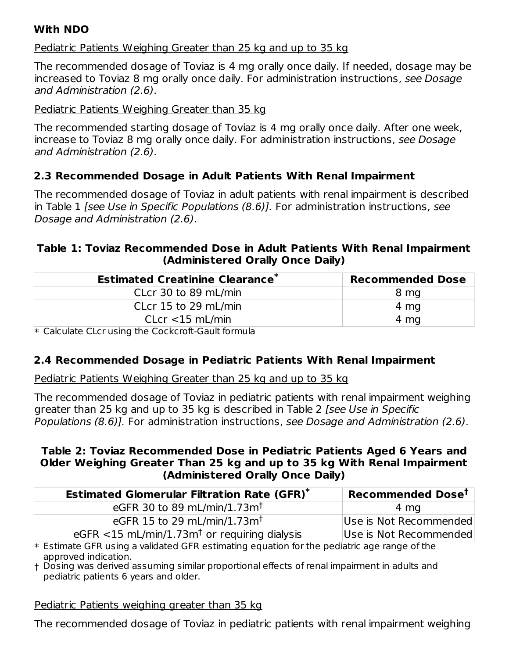### **With NDO**

#### Pediatric Patients Weighing Greater than 25 kg and up to 35 kg

The recommended dosage of Toviaz is 4 mg orally once daily. If needed, dosage may be increased to Toviaz 8 mg orally once daily. For administration instructions, see Dosage and Administration (2.6).

Pediatric Patients Weighing Greater than 35 kg

The recommended starting dosage of Toviaz is 4 mg orally once daily. After one week, increase to Toviaz 8 mg orally once daily. For administration instructions, see Dosage and Administration (2.6).

# **2.3 Recommended Dosage in Adult Patients With Renal Impairment**

The recommended dosage of Toviaz in adult patients with renal impairment is described in Table 1 [see Use in Specific Populations (8.6)]. For administration instructions, see Dosage and Administration (2.6).

#### **Table 1: Toviaz Recommended Dose in Adult Patients With Renal Impairment (Administered Orally Once Daily)**

| <b>Recommended Dose</b> |
|-------------------------|
| 8 mg                    |
| 4 mg                    |
| 4 mg                    |
|                         |

\* Calculate CLcr using the Cockcroft-Gault formula

# **2.4 Recommended Dosage in Pediatric Patients With Renal Impairment**

Pediatric Patients Weighing Greater than 25 kg and up to 35 kg

The recommended dosage of Toviaz in pediatric patients with renal impairment weighing greater than 25 kg and up to 35 kg is described in Table 2 [see Use in Specific Populations (8.6)]. For administration instructions, see Dosage and Administration (2.6).

#### **Table 2: Toviaz Recommended Dose in Pediatric Patients Aged 6 Years and Older Weighing Greater Than 25 kg and up to 35 kg With Renal Impairment (Administered Orally Once Daily)**

| <b>Estimated Glomerular Filtration Rate (GFR)*</b>          | Recommended Dose <sup>t</sup> |
|-------------------------------------------------------------|-------------------------------|
| eGFR 30 to 89 mL/min/1.73m <sup>t</sup>                     | 4 mg                          |
| eGFR 15 to 29 mL/min/1.73m <sup>t</sup>                     | Use is Not Recommended        |
| eGFR $<$ 15 mL/min/1.73m <sup>†</sup> or requiring dialysis | Use is Not Recommended        |

\* Estimate GFR using a validated GFR estimating equation for the pediatric age range of the approved indication.

† Dosing was derived assuming similar proportional effects of renal impairment in adults and pediatric patients 6 years and older.

Pediatric Patients weighing greater than 35 kg

The recommended dosage of Toviaz in pediatric patients with renal impairment weighing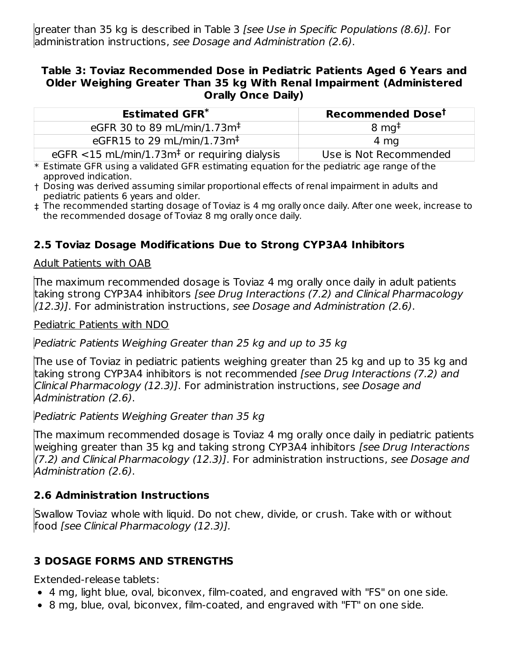greater than 35 kg is described in Table 3 [see Use in Specific Populations (8.6)]. For administration instructions, see Dosage and Administration (2.6).

#### **Table 3: Toviaz Recommended Dose in Pediatric Patients Aged 6 Years and Older Weighing Greater Than 35 kg With Renal Impairment (Administered Orally Once Daily)**

| <b>Estimated GFR<sup>*</sup></b>                            | Recommended Dose <sup>t</sup> |
|-------------------------------------------------------------|-------------------------------|
| eGFR 30 to 89 mL/min/1.73m <sup>+</sup>                     | $8 \text{ mg}^{\ddagger}$     |
| eGFR15 to 29 mL/min/1.73m <sup>+</sup>                      | 4 mg                          |
| eGFR $<$ 15 mL/min/1.73m <sup>‡</sup> or requiring dialysis | Use is Not Recommended        |

 $\ast$  Estimate GFR using a validated GFR estimating equation for the pediatric age range of the approved indication.

- † Dosing was derived assuming similar proportional effects of renal impairment in adults and pediatric patients 6 years and older.
- ‡ The recommended starting dosage of Toviaz is 4 mg orally once daily. After one week, increase to the recommended dosage of Toviaz 8 mg orally once daily.

# **2.5 Toviaz Dosage Modifications Due to Strong CYP3A4 Inhibitors**

#### Adult Patients with OAB

The maximum recommended dosage is Toviaz 4 mg orally once daily in adult patients taking strong CYP3A4 inhibitors [see Drug Interactions (7.2) and Clinical Pharmacology  $(12.3)$ ]. For administration instructions, see Dosage and Administration (2.6).

Pediatric Patients with NDO

Pediatric Patients Weighing Greater than 25 kg and up to 35 kg

The use of Toviaz in pediatric patients weighing greater than 25 kg and up to 35 kg and taking strong CYP3A4 inhibitors is not recommended [see Drug Interactions (7.2) and Clinical Pharmacology (12.3)]. For administration instructions, see Dosage and Administration (2.6).

Pediatric Patients Weighing Greater than 35 kg

The maximum recommended dosage is Toviaz 4 mg orally once daily in pediatric patients weighing greater than 35 kg and taking strong CYP3A4 inhibitors [see Drug Interactions (7.2) and Clinical Pharmacology (12.3)]. For administration instructions, see Dosage and Administration (2.6).

# **2.6 Administration Instructions**

Swallow Toviaz whole with liquid. Do not chew, divide, or crush. Take with or without food [see Clinical Pharmacology (12.3)].

# **3 DOSAGE FORMS AND STRENGTHS**

Extended-release tablets:

- 4 mg, light blue, oval, biconvex, film-coated, and engraved with "FS" on one side.
- 8 mg, blue, oval, biconvex, film-coated, and engraved with "FT" on one side.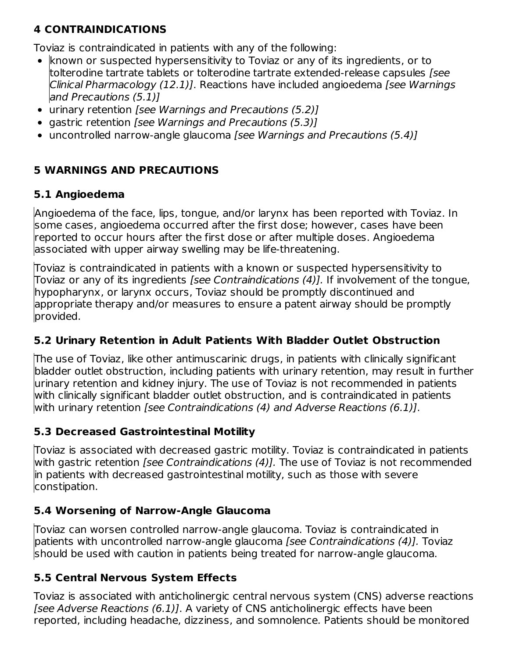# **4 CONTRAINDICATIONS**

Toviaz is contraindicated in patients with any of the following:

- $\bullet$  known or suspected hypersensitivity to Toviaz or any of its ingredients, or to tolterodine tartrate tablets or tolterodine tartrate extended-release capsules [see Clinical Pharmacology (12.1)]. Reactions have included angioedema [see Warnings and Precautions (5.1)]
- urinary retention [see Warnings and Precautions (5.2)]
- gastric retention [see Warnings and Precautions (5.3)]
- uncontrolled narrow-angle glaucoma [see Warnings and Precautions (5.4)]

# **5 WARNINGS AND PRECAUTIONS**

# **5.1 Angioedema**

Angioedema of the face, lips, tongue, and/or larynx has been reported with Toviaz. In some cases, angioedema occurred after the first dose; however, cases have been reported to occur hours after the first dose or after multiple doses. Angioedema associated with upper airway swelling may be life-threatening.

Toviaz is contraindicated in patients with a known or suspected hypersensitivity to Toviaz or any of its ingredients [see Contraindications (4)]. If involvement of the tongue, hypopharynx, or larynx occurs, Toviaz should be promptly discontinued and appropriate therapy and/or measures to ensure a patent airway should be promptly provided.

# **5.2 Urinary Retention in Adult Patients With Bladder Outlet Obstruction**

The use of Toviaz, like other antimuscarinic drugs, in patients with clinically significant bladder outlet obstruction, including patients with urinary retention, may result in further urinary retention and kidney injury. The use of Toviaz is not recommended in patients with clinically significant bladder outlet obstruction, and is contraindicated in patients with urinary retention *[see Contraindications (4) and Adverse Reactions (6.1)]*.

# **5.3 Decreased Gastrointestinal Motility**

Toviaz is associated with decreased gastric motility. Toviaz is contraindicated in patients with gastric retention *[see Contraindications (4)]*. The use of Toviaz is not recommended in patients with decreased gastrointestinal motility, such as those with severe constipation.

# **5.4 Worsening of Narrow-Angle Glaucoma**

Toviaz can worsen controlled narrow-angle glaucoma. Toviaz is contraindicated in patients with uncontrolled narrow-angle glaucoma [see Contraindications (4)]. Toviaz should be used with caution in patients being treated for narrow-angle glaucoma.

# **5.5 Central Nervous System Effects**

Toviaz is associated with anticholinergic central nervous system (CNS) adverse reactions [see Adverse Reactions (6.1)]. A variety of CNS anticholinergic effects have been reported, including headache, dizziness, and somnolence. Patients should be monitored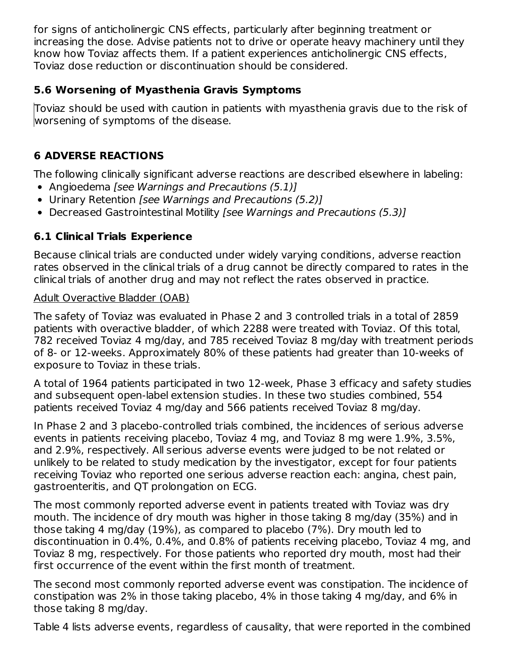for signs of anticholinergic CNS effects, particularly after beginning treatment or increasing the dose. Advise patients not to drive or operate heavy machinery until they know how Toviaz affects them. If a patient experiences anticholinergic CNS effects, Toviaz dose reduction or discontinuation should be considered.

# **5.6 Worsening of Myasthenia Gravis Symptoms**

Toviaz should be used with caution in patients with myasthenia gravis due to the risk of worsening of symptoms of the disease.

# **6 ADVERSE REACTIONS**

The following clinically significant adverse reactions are described elsewhere in labeling:

- Angioedema [see Warnings and Precautions (5.1)]
- Urinary Retention [see Warnings and Precautions (5.2)]
- Decreased Gastrointestinal Motility *[see Warnings and Precautions (5.3)]*

# **6.1 Clinical Trials Experience**

Because clinical trials are conducted under widely varying conditions, adverse reaction rates observed in the clinical trials of a drug cannot be directly compared to rates in the clinical trials of another drug and may not reflect the rates observed in practice.

#### Adult Overactive Bladder (OAB)

The safety of Toviaz was evaluated in Phase 2 and 3 controlled trials in a total of 2859 patients with overactive bladder, of which 2288 were treated with Toviaz. Of this total, 782 received Toviaz 4 mg/day, and 785 received Toviaz 8 mg/day with treatment periods of 8- or 12-weeks. Approximately 80% of these patients had greater than 10-weeks of exposure to Toviaz in these trials.

A total of 1964 patients participated in two 12-week, Phase 3 efficacy and safety studies and subsequent open-label extension studies. In these two studies combined, 554 patients received Toviaz 4 mg/day and 566 patients received Toviaz 8 mg/day.

In Phase 2 and 3 placebo-controlled trials combined, the incidences of serious adverse events in patients receiving placebo, Toviaz 4 mg, and Toviaz 8 mg were 1.9%, 3.5%, and 2.9%, respectively. All serious adverse events were judged to be not related or unlikely to be related to study medication by the investigator, except for four patients receiving Toviaz who reported one serious adverse reaction each: angina, chest pain, gastroenteritis, and QT prolongation on ECG.

The most commonly reported adverse event in patients treated with Toviaz was dry mouth. The incidence of dry mouth was higher in those taking 8 mg/day (35%) and in those taking 4 mg/day (19%), as compared to placebo (7%). Dry mouth led to discontinuation in 0.4%, 0.4%, and 0.8% of patients receiving placebo, Toviaz 4 mg, and Toviaz 8 mg, respectively. For those patients who reported dry mouth, most had their first occurrence of the event within the first month of treatment.

The second most commonly reported adverse event was constipation. The incidence of constipation was 2% in those taking placebo, 4% in those taking 4 mg/day, and 6% in those taking 8 mg/day.

Table 4 lists adverse events, regardless of causality, that were reported in the combined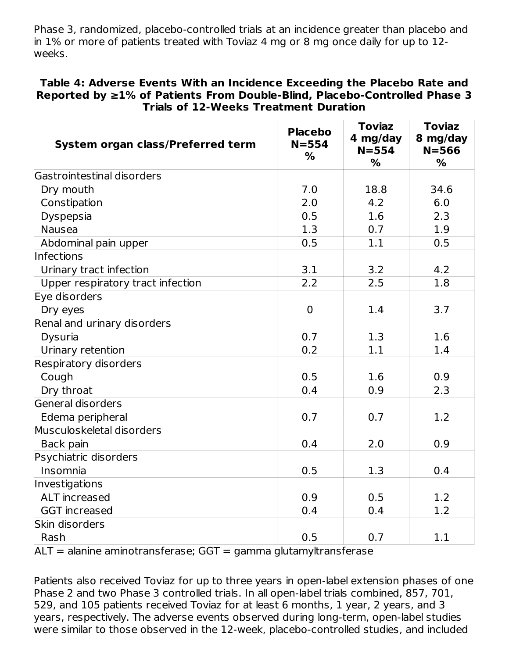Phase 3, randomized, placebo-controlled trials at an incidence greater than placebo and in 1% or more of patients treated with Toviaz 4 mg or 8 mg once daily for up to 12 weeks.

#### **Table 4: Adverse Events With an Incidence Exceeding the Placebo Rate and Reported by ≥1% of Patients From Double-Blind, Placebo-Controlled Phase 3 Trials of 12-Weeks Treatment Duration**

| System organ class/Preferred term | <b>Placebo</b><br>$N = 554$<br>$\frac{9}{6}$ | <b>Toviaz</b><br>4 mg/day<br>$N = 554$<br>$\frac{6}{6}$ | <b>Toviaz</b><br>8 mg/day<br>$N = 566$<br>$\%$ |
|-----------------------------------|----------------------------------------------|---------------------------------------------------------|------------------------------------------------|
| Gastrointestinal disorders        |                                              |                                                         |                                                |
| Dry mouth                         | 7.0                                          | 18.8                                                    | 34.6                                           |
| Constipation                      | 2.0                                          | 4.2                                                     | 6.0                                            |
| Dyspepsia                         | 0.5                                          | 1.6                                                     | 2.3                                            |
| <b>Nausea</b>                     | 1.3                                          | 0.7                                                     | 1.9                                            |
| Abdominal pain upper              | 0.5                                          | 1.1                                                     | 0.5                                            |
| Infections                        |                                              |                                                         |                                                |
| Urinary tract infection           | 3.1                                          | 3.2                                                     | 4.2                                            |
| Upper respiratory tract infection | 2.2                                          | 2.5                                                     | 1.8                                            |
| Eye disorders                     |                                              |                                                         |                                                |
| Dry eyes                          | $\mathbf 0$                                  | 1.4                                                     | 3.7                                            |
| Renal and urinary disorders       |                                              |                                                         |                                                |
| Dysuria                           | 0.7                                          | 1.3                                                     | 1.6                                            |
| Urinary retention                 | 0.2                                          | 1.1                                                     | 1.4                                            |
| Respiratory disorders             |                                              |                                                         |                                                |
| Cough                             | 0.5                                          | 1.6                                                     | 0.9                                            |
| Dry throat                        | 0.4                                          | 0.9                                                     | 2.3                                            |
| General disorders                 |                                              |                                                         |                                                |
| Edema peripheral                  | 0.7                                          | 0.7                                                     | 1.2                                            |
| Musculoskeletal disorders         |                                              |                                                         |                                                |
| Back pain                         | 0.4                                          | 2.0                                                     | 0.9                                            |
| Psychiatric disorders             |                                              |                                                         |                                                |
| Insomnia                          | 0.5                                          | 1.3                                                     | 0.4                                            |
| Investigations                    |                                              |                                                         |                                                |
| ALT increased                     | 0.9                                          | 0.5                                                     | 1.2                                            |
| <b>GGT</b> increased              | 0.4                                          | 0.4                                                     | 1.2                                            |
| Skin disorders                    |                                              |                                                         |                                                |
| Rash                              | 0.5                                          | 0.7                                                     | 1.1                                            |

 $ALT$  = alanine aminotransferase; GGT = gamma glutamyltransferase

Patients also received Toviaz for up to three years in open-label extension phases of one Phase 2 and two Phase 3 controlled trials. In all open-label trials combined, 857, 701, 529, and 105 patients received Toviaz for at least 6 months, 1 year, 2 years, and 3 years, respectively. The adverse events observed during long-term, open-label studies were similar to those observed in the 12-week, placebo-controlled studies, and included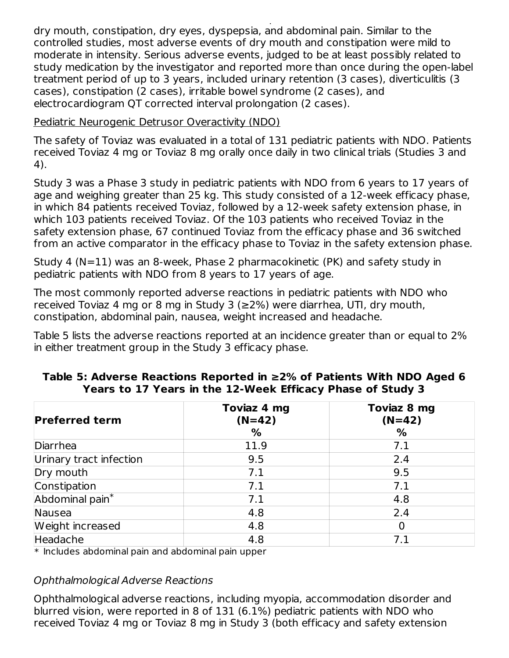were similar to those observed in the 12-week, placebo-controlled studies, and included studies, and included studies, and included studies, and included studies, and included studies, and included studies, and included s dry mouth, constipation, dry eyes, dyspepsia, and abdominal pain. Similar to the controlled studies, most adverse events of dry mouth and constipation were mild to moderate in intensity. Serious adverse events, judged to be at least possibly related to study medication by the investigator and reported more than once during the open-label treatment period of up to 3 years, included urinary retention (3 cases), diverticulitis (3 cases), constipation (2 cases), irritable bowel syndrome (2 cases), and electrocardiogram QT corrected interval prolongation (2 cases).

Pediatric Neurogenic Detrusor Overactivity (NDO)

The safety of Toviaz was evaluated in a total of 131 pediatric patients with NDO. Patients received Toviaz 4 mg or Toviaz 8 mg orally once daily in two clinical trials (Studies 3 and 4).

Study 3 was a Phase 3 study in pediatric patients with NDO from 6 years to 17 years of age and weighing greater than 25 kg. This study consisted of a 12-week efficacy phase, in which 84 patients received Toviaz, followed by a 12-week safety extension phase, in which 103 patients received Toviaz. Of the 103 patients who received Toviaz in the safety extension phase, 67 continued Toviaz from the efficacy phase and 36 switched from an active comparator in the efficacy phase to Toviaz in the safety extension phase.

Study 4 (N=11) was an 8-week, Phase 2 pharmacokinetic (PK) and safety study in pediatric patients with NDO from 8 years to 17 years of age.

The most commonly reported adverse reactions in pediatric patients with NDO who received Toviaz 4 mg or 8 mg in Study 3 (≥2%) were diarrhea, UTI, dry mouth, constipation, abdominal pain, nausea, weight increased and headache.

Table 5 lists the adverse reactions reported at an incidence greater than or equal to 2% in either treatment group in the Study 3 efficacy phase.

| <b>Preferred term</b>       | Toviaz 4 mg<br>$(N=42)$<br>% | Toviaz 8 mg<br>$(N=42)$<br>% |
|-----------------------------|------------------------------|------------------------------|
| Diarrhea                    | 11.9                         | 7.1                          |
| Urinary tract infection     | 9.5                          | 2.4                          |
| Dry mouth                   | 7.1                          | 9.5                          |
| Constipation                | 7.1                          | 7.1                          |
| Abdominal pain <sup>*</sup> | 7.1                          | 4.8                          |
| Nausea                      | 4.8                          | 2.4                          |
| Weight increased            | 4.8                          |                              |
| Headache                    | 4.8                          | 7.1                          |

#### **Table 5: Adverse Reactions Reported in ≥2% of Patients With NDO Aged 6 Years to 17 Years in the 12-Week Efficacy Phase of Study 3**

 $\ast$  Includes abdominal pain and abdominal pain upper

#### Ophthalmological Adverse Reactions

Ophthalmological adverse reactions, including myopia, accommodation disorder and blurred vision, were reported in 8 of 131 (6.1%) pediatric patients with NDO who received Toviaz 4 mg or Toviaz 8 mg in Study 3 (both efficacy and safety extension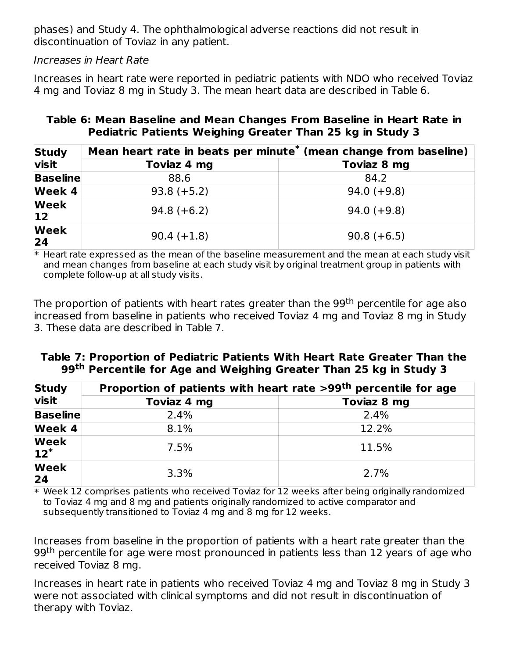phases) and Study 4. The ophthalmological adverse reactions did not result in discontinuation of Toviaz in any patient.

Increases in Heart Rate

Increases in heart rate were reported in pediatric patients with NDO who received Toviaz 4 mg and Toviaz 8 mg in Study 3. The mean heart data are described in Table 6.

| Table 6: Mean Baseline and Mean Changes From Baseline in Heart Rate in |  |  |  |
|------------------------------------------------------------------------|--|--|--|
| Pediatric Patients Weighing Greater Than 25 kg in Study 3              |  |  |  |

| <b>Study</b>                | Mean heart rate in beats per minute <sup>*</sup> (mean change from baseline) |               |  |  |
|-----------------------------|------------------------------------------------------------------------------|---------------|--|--|
| <b>visit</b>                | Toviaz 4 mg                                                                  | Toviaz 8 mg   |  |  |
| <b>Baseline</b>             | 88.6                                                                         | 84.2          |  |  |
| Week 4                      | $93.8 (+5.2)$                                                                | $94.0 (+9.8)$ |  |  |
| <b>Week</b><br>$ 12\rangle$ | $94.8 (+6.2)$                                                                | $94.0 (+9.8)$ |  |  |
| <b>Week</b><br>24           | $90.4 (+1.8)$                                                                | $90.8 (+6.5)$ |  |  |

 $\ast$  Heart rate expressed as the mean of the baseline measurement and the mean at each study visit and mean changes from baseline at each study visit by original treatment group in patients with complete follow-up at all study visits.

The proportion of patients with heart rates greater than the 99<sup>th</sup> percentile for age also increased from baseline in patients who received Toviaz 4 mg and Toviaz 8 mg in Study 3. These data are described in Table 7.

### **Table 7: Proportion of Pediatric Patients With Heart Rate Greater Than the 99 Percentile for Age and Weighing Greater Than 25 kg in Study 3 th**

| <b>Study</b>          | Proportion of patients with heart rate >99 <sup>th</sup> percentile for age |             |  |  |
|-----------------------|-----------------------------------------------------------------------------|-------------|--|--|
| <b>visit</b>          | Toviaz 4 mg                                                                 | Toviaz 8 mg |  |  |
| <b>Baseline</b>       | 2.4%                                                                        | 2.4%        |  |  |
| <b>Week 4</b>         | 8.1%                                                                        | 12.2%       |  |  |
| <b>Week</b><br>$12^*$ | 7.5%                                                                        | 11.5%       |  |  |
| <b>Week</b><br>24     | 3.3%                                                                        | 2.7%        |  |  |

\* Week 12 comprises patients who received Toviaz for 12 weeks after being originally randomized to Toviaz 4 mg and 8 mg and patients originally randomized to active comparator and subsequently transitioned to Toviaz 4 mg and 8 mg for 12 weeks.

Increases from baseline in the proportion of patients with a heart rate greater than the 99<sup>th</sup> percentile for age were most pronounced in patients less than 12 years of age who received Toviaz 8 mg.

Increases in heart rate in patients who received Toviaz 4 mg and Toviaz 8 mg in Study 3 were not associated with clinical symptoms and did not result in discontinuation of therapy with Toviaz.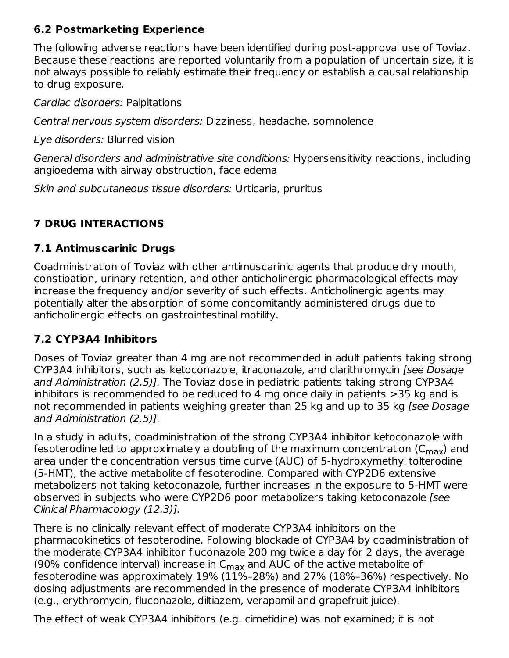# **6.2 Postmarketing Experience**

The following adverse reactions have been identified during post-approval use of Toviaz. Because these reactions are reported voluntarily from a population of uncertain size, it is not always possible to reliably estimate their frequency or establish a causal relationship to drug exposure.

Cardiac disorders: Palpitations

Central nervous system disorders: Dizziness, headache, somnolence

Eye disorders: Blurred vision

General disorders and administrative site conditions: Hypersensitivity reactions, including angioedema with airway obstruction, face edema

Skin and subcutaneous tissue disorders: Urticaria, pruritus

# **7 DRUG INTERACTIONS**

### **7.1 Antimuscarinic Drugs**

Coadministration of Toviaz with other antimuscarinic agents that produce dry mouth, constipation, urinary retention, and other anticholinergic pharmacological effects may increase the frequency and/or severity of such effects. Anticholinergic agents may potentially alter the absorption of some concomitantly administered drugs due to anticholinergic effects on gastrointestinal motility.

# **7.2 CYP3A4 Inhibitors**

Doses of Toviaz greater than 4 mg are not recommended in adult patients taking strong CYP3A4 inhibitors, such as ketoconazole, itraconazole, and clarithromycin [see Dosage and Administration (2.5)]. The Toviaz dose in pediatric patients taking strong CYP3A4 inhibitors is recommended to be reduced to 4 mg once daily in patients >35 kg and is not recommended in patients weighing greater than 25 kg and up to 35 kg [see Dosage and Administration (2.5)].

In a study in adults, coadministration of the strong CYP3A4 inhibitor ketoconazole with fesoterodine led to approximately a doubling of the maximum concentration (C<sub>max</sub>) and area under the concentration versus time curve (AUC) of 5-hydroxymethyl tolterodine (5-HMT), the active metabolite of fesoterodine. Compared with CYP2D6 extensive metabolizers not taking ketoconazole, further increases in the exposure to 5-HMT were observed in subjects who were CYP2D6 poor metabolizers taking ketoconazole [see Clinical Pharmacology (12.3)].

There is no clinically relevant effect of moderate CYP3A4 inhibitors on the pharmacokinetics of fesoterodine. Following blockade of CYP3A4 by coadministration of the moderate CYP3A4 inhibitor fluconazole 200 mg twice a day for 2 days, the average (90% confidence interval) increase in  $\mathsf{C}_{\mathsf{max}}$  and AUC of the active metabolite of fesoterodine was approximately 19% (11%–28%) and 27% (18%–36%) respectively. No dosing adjustments are recommended in the presence of moderate CYP3A4 inhibitors (e.g., erythromycin, fluconazole, diltiazem, verapamil and grapefruit juice).

The effect of weak CYP3A4 inhibitors (e.g. cimetidine) was not examined; it is not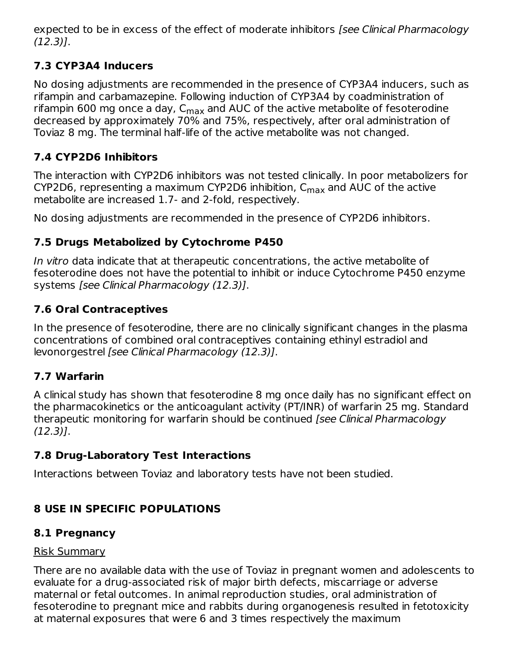expected to be in excess of the effect of moderate inhibitors *[see Clinical Pharmacology* (12.3)].

# **7.3 CYP3A4 Inducers**

No dosing adjustments are recommended in the presence of CYP3A4 inducers, such as rifampin and carbamazepine. Following induction of CYP3A4 by coadministration of rifampin 600 mg once a day, C<sub>max</sub> and AUC of the active metabolite of fesoterodine decreased by approximately 70% and 75%, respectively, after oral administration of Toviaz 8 mg. The terminal half-life of the active metabolite was not changed.

# **7.4 CYP2D6 Inhibitors**

The interaction with CYP2D6 inhibitors was not tested clinically. In poor metabolizers for CYP2D6, representing a maximum CYP2D6 inhibition,  $\mathsf{C}_{\mathsf{max}}$  and AUC of the active metabolite are increased 1.7- and 2-fold, respectively.

No dosing adjustments are recommended in the presence of CYP2D6 inhibitors.

# **7.5 Drugs Metabolized by Cytochrome P450**

In vitro data indicate that at therapeutic concentrations, the active metabolite of fesoterodine does not have the potential to inhibit or induce Cytochrome P450 enzyme systems [see Clinical Pharmacology (12.3)].

# **7.6 Oral Contraceptives**

In the presence of fesoterodine, there are no clinically significant changes in the plasma concentrations of combined oral contraceptives containing ethinyl estradiol and levonorgestrel [see Clinical Pharmacology (12.3)].

# **7.7 Warfarin**

A clinical study has shown that fesoterodine 8 mg once daily has no significant effect on the pharmacokinetics or the anticoagulant activity (PT/INR) of warfarin 25 mg. Standard therapeutic monitoring for warfarin should be continued [see Clinical Pharmacology (12.3)].

# **7.8 Drug-Laboratory Test Interactions**

Interactions between Toviaz and laboratory tests have not been studied.

# **8 USE IN SPECIFIC POPULATIONS**

# **8.1 Pregnancy**

# Risk Summary

There are no available data with the use of Toviaz in pregnant women and adolescents to evaluate for a drug-associated risk of major birth defects, miscarriage or adverse maternal or fetal outcomes. In animal reproduction studies, oral administration of fesoterodine to pregnant mice and rabbits during organogenesis resulted in fetotoxicity at maternal exposures that were 6 and 3 times respectively the maximum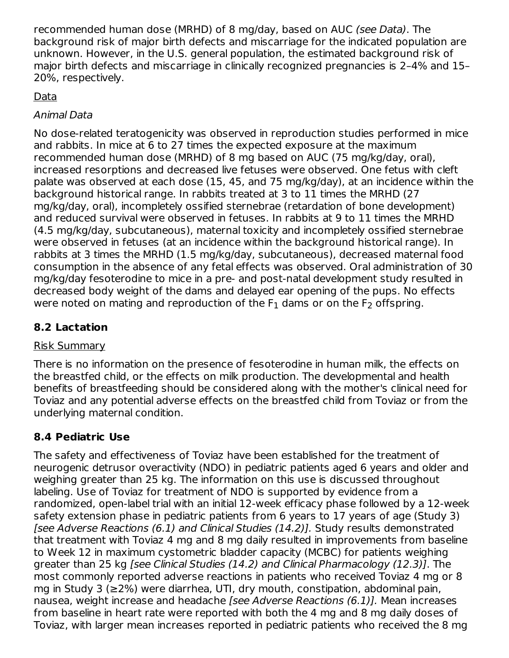recommended human dose (MRHD) of 8 mg/day, based on AUC (see Data). The background risk of major birth defects and miscarriage for the indicated population are unknown. However, in the U.S. general population, the estimated background risk of major birth defects and miscarriage in clinically recognized pregnancies is 2–4% and 15– 20%, respectively.

# Data

# Animal Data

No dose-related teratogenicity was observed in reproduction studies performed in mice and rabbits. In mice at 6 to 27 times the expected exposure at the maximum recommended human dose (MRHD) of 8 mg based on AUC (75 mg/kg/day, oral), increased resorptions and decreased live fetuses were observed. One fetus with cleft palate was observed at each dose (15, 45, and 75 mg/kg/day), at an incidence within the background historical range. In rabbits treated at 3 to 11 times the MRHD (27 mg/kg/day, oral), incompletely ossified sternebrae (retardation of bone development) and reduced survival were observed in fetuses. In rabbits at 9 to 11 times the MRHD (4.5 mg/kg/day, subcutaneous), maternal toxicity and incompletely ossified sternebrae were observed in fetuses (at an incidence within the background historical range). In rabbits at 3 times the MRHD (1.5 mg/kg/day, subcutaneous), decreased maternal food consumption in the absence of any fetal effects was observed. Oral administration of 30 mg/kg/day fesoterodine to mice in a pre- and post-natal development study resulted in decreased body weight of the dams and delayed ear opening of the pups. No effects were noted on mating and reproduction of the  $\mathsf F_1$  dams or on the  $\mathsf F_2$  offspring.

# **8.2 Lactation**

# Risk Summary

There is no information on the presence of fesoterodine in human milk, the effects on the breastfed child, or the effects on milk production. The developmental and health benefits of breastfeeding should be considered along with the mother's clinical need for Toviaz and any potential adverse effects on the breastfed child from Toviaz or from the underlying maternal condition.

# **8.4 Pediatric Use**

The safety and effectiveness of Toviaz have been established for the treatment of neurogenic detrusor overactivity (NDO) in pediatric patients aged 6 years and older and weighing greater than 25 kg. The information on this use is discussed throughout labeling. Use of Toviaz for treatment of NDO is supported by evidence from a randomized, open-label trial with an initial 12-week efficacy phase followed by a 12-week safety extension phase in pediatric patients from 6 years to 17 years of age (Study 3) [see Adverse Reactions (6.1) and Clinical Studies (14.2)]. Study results demonstrated that treatment with Toviaz 4 mg and 8 mg daily resulted in improvements from baseline to Week 12 in maximum cystometric bladder capacity (MCBC) for patients weighing greater than 25 kg [see Clinical Studies (14.2) and Clinical Pharmacology (12.3)]. The most commonly reported adverse reactions in patients who received Toviaz 4 mg or 8 mg in Study 3 (≥2%) were diarrhea, UTI, dry mouth, constipation, abdominal pain, nausea, weight increase and headache [see Adverse Reactions (6.1)]. Mean increases from baseline in heart rate were reported with both the 4 mg and 8 mg daily doses of Toviaz, with larger mean increases reported in pediatric patients who received the 8 mg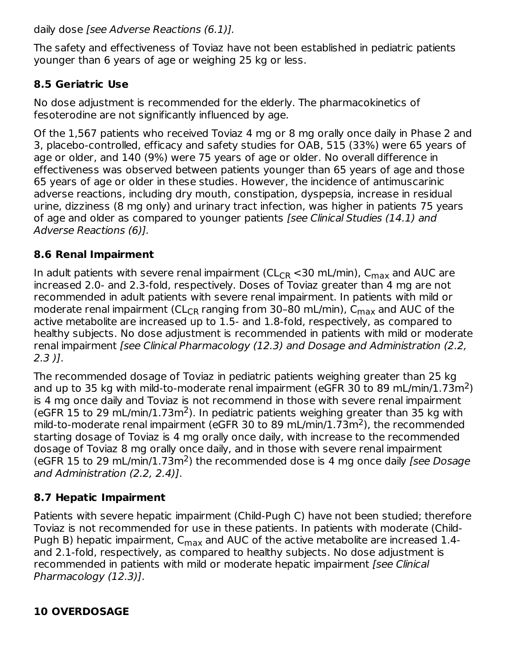daily dose [see Adverse Reactions (6.1)].

The safety and effectiveness of Toviaz have not been established in pediatric patients younger than 6 years of age or weighing 25 kg or less.

# **8.5 Geriatric Use**

No dose adjustment is recommended for the elderly. The pharmacokinetics of fesoterodine are not significantly influenced by age.

Of the 1,567 patients who received Toviaz 4 mg or 8 mg orally once daily in Phase 2 and 3, placebo-controlled, efficacy and safety studies for OAB, 515 (33%) were 65 years of age or older, and 140 (9%) were 75 years of age or older. No overall difference in effectiveness was observed between patients younger than 65 years of age and those 65 years of age or older in these studies. However, the incidence of antimuscarinic adverse reactions, including dry mouth, constipation, dyspepsia, increase in residual urine, dizziness (8 mg only) and urinary tract infection, was higher in patients 75 years of age and older as compared to younger patients [see Clinical Studies (14.1) and Adverse Reactions (6)].

# **8.6 Renal Impairment**

In adult patients with severe renal impairment (CL<sub>CR</sub> <30 mL/min),  $\mathsf{C}_{\mathsf{max}}$  and AUC are increased 2.0- and 2.3-fold, respectively. Doses of Toviaz greater than 4 mg are not recommended in adult patients with severe renal impairment. In patients with mild or moderate renal impairment (CL<sub>CR</sub> ranging from 30-80 mL/min), C<sub>max</sub> and AUC of the active metabolite are increased up to 1.5- and 1.8-fold, respectively, as compared to healthy subjects. No dose adjustment is recommended in patients with mild or moderate renal impairment [see Clinical Pharmacology (12.3) and Dosage and Administration (2.2, 2.3 )].

The recommended dosage of Toviaz in pediatric patients weighing greater than 25 kg and up to 35 kg with mild-to-moderate renal impairment (eGFR 30 to 89 mL/min/1.73m<sup>2</sup>) is 4 mg once daily and Toviaz is not recommend in those with severe renal impairment (eGFR 15 to 29 mL/min/1.73m<sup>2</sup>). In pediatric patients weighing greater than 35 kg with mild-to-moderate renal impairment (eGFR 30 to 89 mL/min/1.73m<sup>2</sup>), the recommended starting dosage of Toviaz is 4 mg orally once daily, with increase to the recommended dosage of Toviaz 8 mg orally once daily, and in those with severe renal impairment (eGFR 15 to 29 mL/min/1.73m<sup>2</sup>) the recommended dose is 4 mg once daily [see Dosage and Administration (2.2, 2.4)].

# **8.7 Hepatic Impairment**

Patients with severe hepatic impairment (Child-Pugh C) have not been studied; therefore Toviaz is not recommended for use in these patients. In patients with moderate (Child-Pugh B) hepatic impairment,  $\mathsf{C}_{\mathsf{max}}$  and AUC of the active metabolite are increased 1.4and 2.1-fold, respectively, as compared to healthy subjects. No dose adjustment is recommended in patients with mild or moderate hepatic impairment [see Clinical Pharmacology (12.3)].

# **10 OVERDOSAGE**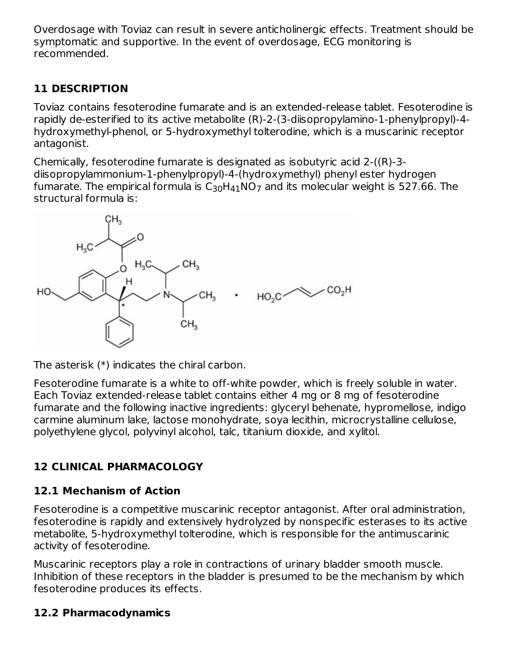Overdosage with Toviaz can result in severe anticholinergic effects. Treatment should be symptomatic and supportive. In the event of overdosage, ECG monitoring is recommended.

# **11 DESCRIPTION**

Toviaz contains fesoterodine fumarate and is an extended-release tablet. Fesoterodine is rapidly de-esterified to its active metabolite (R)-2-(3-diisopropylamino-1-phenylpropyl)-4 hydroxymethyl-phenol, or 5-hydroxymethyl tolterodine, which is a muscarinic receptor antagonist.

Chemically, fesoterodine fumarate is designated as isobutyric acid 2-((R)-3 diisopropylammonium-1-phenylpropyl)-4-(hydroxymethyl) phenyl ester hydrogen fumarate. The empirical formula is  ${\sf C}_{30} {\sf H}_{41} {\sf NO}_7$  and its molecular weight is 527.66. The structural formula is:



The asterisk (\*) indicates the chiral carbon.

Fesoterodine fumarate is a white to off-white powder, which is freely soluble in water. Each Toviaz extended-release tablet contains either 4 mg or 8 mg of fesoterodine fumarate and the following inactive ingredients: glyceryl behenate, hypromellose, indigo carmine aluminum lake, lactose monohydrate, soya lecithin, microcrystalline cellulose, polyethylene glycol, polyvinyl alcohol, talc, titanium dioxide, and xylitol.

# **12 CLINICAL PHARMACOLOGY**

# **12.1 Mechanism of Action**

Fesoterodine is a competitive muscarinic receptor antagonist. After oral administration, fesoterodine is rapidly and extensively hydrolyzed by nonspecific esterases to its active metabolite, 5-hydroxymethyl tolterodine, which is responsible for the antimuscarinic activity of fesoterodine.

Muscarinic receptors play a role in contractions of urinary bladder smooth muscle. Inhibition of these receptors in the bladder is presumed to be the mechanism by which fesoterodine produces its effects.

# **12.2 Pharmacodynamics**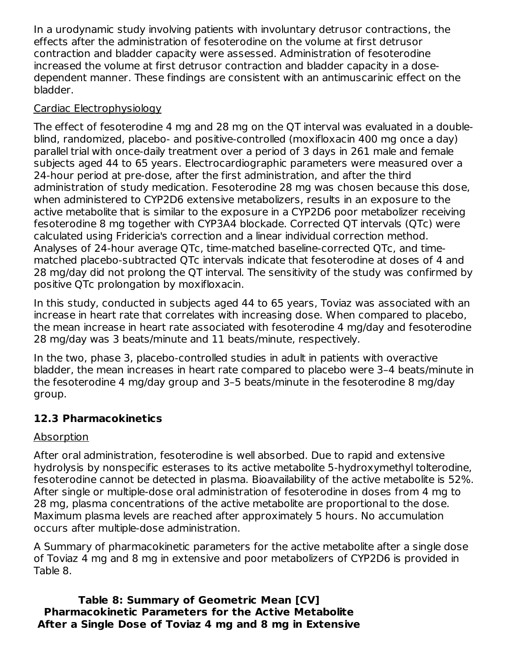In a urodynamic study involving patients with involuntary detrusor contractions, the effects after the administration of fesoterodine on the volume at first detrusor contraction and bladder capacity were assessed. Administration of fesoterodine increased the volume at first detrusor contraction and bladder capacity in a dosedependent manner. These findings are consistent with an antimuscarinic effect on the bladder.

### Cardiac Electrophysiology

The effect of fesoterodine 4 mg and 28 mg on the QT interval was evaluated in a doubleblind, randomized, placebo- and positive-controlled (moxifloxacin 400 mg once a day) parallel trial with once-daily treatment over a period of 3 days in 261 male and female subjects aged 44 to 65 years. Electrocardiographic parameters were measured over a 24-hour period at pre-dose, after the first administration, and after the third administration of study medication. Fesoterodine 28 mg was chosen because this dose, when administered to CYP2D6 extensive metabolizers, results in an exposure to the active metabolite that is similar to the exposure in a CYP2D6 poor metabolizer receiving fesoterodine 8 mg together with CYP3A4 blockade. Corrected QT intervals (QTc) were calculated using Fridericia's correction and a linear individual correction method. Analyses of 24-hour average QTc, time-matched baseline-corrected QTc, and timematched placebo-subtracted QTc intervals indicate that fesoterodine at doses of 4 and 28 mg/day did not prolong the QT interval. The sensitivity of the study was confirmed by positive QTc prolongation by moxifloxacin.

In this study, conducted in subjects aged 44 to 65 years, Toviaz was associated with an increase in heart rate that correlates with increasing dose. When compared to placebo, the mean increase in heart rate associated with fesoterodine 4 mg/day and fesoterodine 28 mg/day was 3 beats/minute and 11 beats/minute, respectively.

In the two, phase 3, placebo-controlled studies in adult in patients with overactive bladder, the mean increases in heart rate compared to placebo were 3–4 beats/minute in the fesoterodine 4 mg/day group and 3–5 beats/minute in the fesoterodine 8 mg/day group.

# **12.3 Pharmacokinetics**

# Absorption

After oral administration, fesoterodine is well absorbed. Due to rapid and extensive hydrolysis by nonspecific esterases to its active metabolite 5-hydroxymethyl tolterodine, fesoterodine cannot be detected in plasma. Bioavailability of the active metabolite is 52%. After single or multiple-dose oral administration of fesoterodine in doses from 4 mg to 28 mg, plasma concentrations of the active metabolite are proportional to the dose. Maximum plasma levels are reached after approximately 5 hours. No accumulation occurs after multiple-dose administration.

A Summary of pharmacokinetic parameters for the active metabolite after a single dose of Toviaz 4 mg and 8 mg in extensive and poor metabolizers of CYP2D6 is provided in Table 8.

**Table 8: Summary of Geometric Mean [CV] Pharmacokinetic Parameters for the Active Metabolite After a Single Dose of Toviaz 4 mg and 8 mg in Extensive**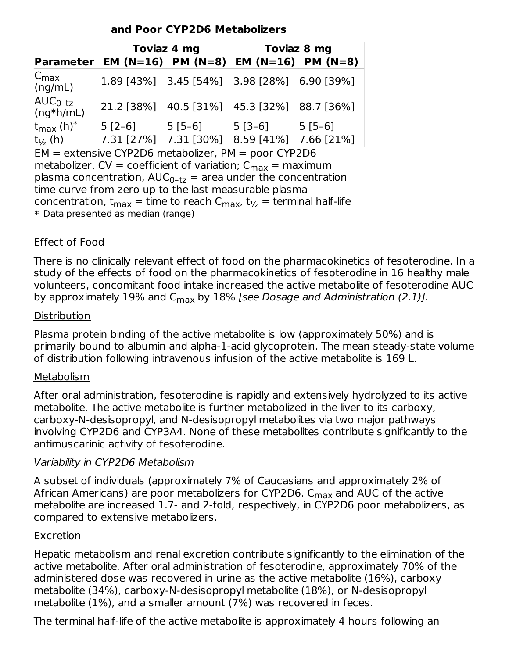#### **and Poor CYP2D6 Metabolizers**

|                               | Toviaz 4 mg                                            |          |                                             | Toviaz 8 mg |
|-------------------------------|--------------------------------------------------------|----------|---------------------------------------------|-------------|
|                               | <b>Parameter EM (N=16) PM (N=8) EM (N=16) PM (N=8)</b> |          |                                             |             |
| $ C_{\text{max}} $<br>(ng/mL) |                                                        |          | 1.89 [43%] 3.45 [54%] 3.98 [28%] 6.90 [39%] |             |
| $AUC_{0-tz}$<br>$(ng*h/mL)$   |                                                        |          | 21.2 [38%] 40.5 [31%] 45.3 [32%] 88.7 [36%] |             |
| $t_{max}$ (h) <sup>*</sup>    | $5[2-6]$                                               | $5[5-6]$ | 5 [3–6]                                     | $5[5-6]$    |
| $t_{\frac{1}{2}}$ (h)         | 7.31 [27%] 7.31 [30%]                                  |          | 8.59 [41%] 7.66 [21%]                       |             |

 $EM =$  extensive CYP2D6 metabolizer, PM = poor CYP2D6 metabolizer, CV = coefficient of variation;  $C_{\text{max}} = \text{maximum}$ plasma concentration,  $AUC_{0-tz} =$  area under the concentration time curve from zero up to the last measurable plasma concentration,  $t_{max}$  = time to reach C $_{max}$ ,  $t_{\frac{1}{2}}$  = terminal half-life \* Data presented as median (range)

#### Effect of Food

There is no clinically relevant effect of food on the pharmacokinetics of fesoterodine. In a study of the effects of food on the pharmacokinetics of fesoterodine in 16 healthy male volunteers, concomitant food intake increased the active metabolite of fesoterodine AUC by approximately 19% and C<sub>max</sub> by 18% [see Dosage and Administration (2.1)].

#### **Distribution**

Plasma protein binding of the active metabolite is low (approximately 50%) and is primarily bound to albumin and alpha-1-acid glycoprotein. The mean steady-state volume of distribution following intravenous infusion of the active metabolite is 169 L.

#### Metabolism

After oral administration, fesoterodine is rapidly and extensively hydrolyzed to its active metabolite. The active metabolite is further metabolized in the liver to its carboxy, carboxy-N-desisopropyl, and N-desisopropyl metabolites via two major pathways involving CYP2D6 and CYP3A4. None of these metabolites contribute significantly to the antimuscarinic activity of fesoterodine.

#### Variability in CYP2D6 Metabolism

A subset of individuals (approximately 7% of Caucasians and approximately 2% of African Americans) are poor metabolizers for CYP2D6. C<sub>max</sub> and AUC of the active metabolite are increased 1.7- and 2-fold, respectively, in CYP2D6 poor metabolizers, as compared to extensive metabolizers.

#### Excretion

Hepatic metabolism and renal excretion contribute significantly to the elimination of the active metabolite. After oral administration of fesoterodine, approximately 70% of the administered dose was recovered in urine as the active metabolite (16%), carboxy metabolite (34%), carboxy-N-desisopropyl metabolite (18%), or N-desisopropyl metabolite (1%), and a smaller amount (7%) was recovered in feces.

The terminal half-life of the active metabolite is approximately 4 hours following an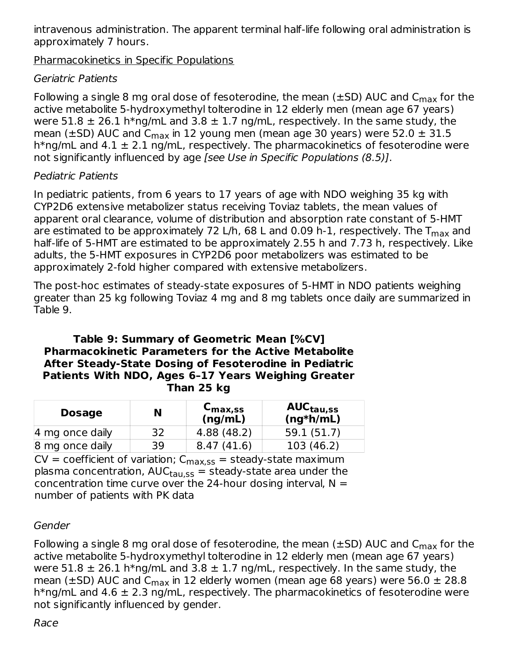intravenous administration. The apparent terminal half-life following oral administration is approximately 7 hours.

Pharmacokinetics in Specific Populations

# Geriatric Patients

Following a single 8 mg oral dose of fesoterodine, the mean (±SD) AUC and  $\mathsf{C}_{\mathsf{max}}$  for the active metabolite 5-hydroxymethyl tolterodine in 12 elderly men (mean age 67 years) were 51.8  $\pm$  26.1 h\*ng/mL and 3.8  $\pm$  1.7 ng/mL, respectively. In the same study, the mean ( $\pm$ SD) AUC and C<sub>max</sub> in 12 young men (mean age 30 years) were 52.0  $\pm$  31.5 h\*ng/mL and  $4.1 \pm 2.1$  ng/mL, respectively. The pharmacokinetics of fesoterodine were not significantly influenced by age [see Use in Specific Populations (8.5)].

### Pediatric Patients

In pediatric patients, from 6 years to 17 years of age with NDO weighing 35 kg with CYP2D6 extensive metabolizer status receiving Toviaz tablets, the mean values of apparent oral clearance, volume of distribution and absorption rate constant of 5-HMT are estimated to be approximately 72 L/h, 68 L and 0.09 h-1, respectively. The  $\mathsf{T}_{\mathsf{max}}$  and half-life of 5-HMT are estimated to be approximately 2.55 h and 7.73 h, respectively. Like adults, the 5-HMT exposures in CYP2D6 poor metabolizers was estimated to be approximately 2-fold higher compared with extensive metabolizers.

The post-hoc estimates of steady-state exposures of 5-HMT in NDO patients weighing greater than 25 kg following Toviaz 4 mg and 8 mg tablets once daily are summarized in Table 9.

#### **Table 9: Summary of Geometric Mean [%CV] Pharmacokinetic Parameters for the Active Metabolite After Steady-State Dosing of Fesoterodine in Pediatric Patients With NDO, Ages 6–17 Years Weighing Greater Than 25 kg**

| <b>Dosage</b>   | N  | $C_{\text{max,SS}}$<br>(ng/mL) | AUC <sub>tau,ss</sub><br>$(ng*h/mL)$ |
|-----------------|----|--------------------------------|--------------------------------------|
| 4 mg once daily | 32 | 4.88 (48.2)                    | 59.1 (51.7)                          |
| 8 mg once daily | 39 | (41.6)<br>8.47                 | 103 (46.2)                           |

 $CV = coefficient$  of variation;  $C_{max,SS} = steady-state$  maximum plasma concentration, AUC<sub>tau,ss</sub> = steady-state area under the concentration time curve over the 24-hour dosing interval,  $N =$ number of patients with PK data

# Gender

Following a single 8 mg oral dose of fesoterodine, the mean (±SD) AUC and  $\mathsf{C}_{\mathsf{max}}$  for the active metabolite 5-hydroxymethyl tolterodine in 12 elderly men (mean age 67 years) were 51.8  $\pm$  26.1 h\*ng/mL and 3.8  $\pm$  1.7 ng/mL, respectively. In the same study, the mean ( $\pm$ SD) AUC and C<sub>max</sub> in 12 elderly women (mean age 68 years) were 56.0  $\pm$  28.8 h\*ng/mL and 4.6  $\pm$  2.3 ng/mL, respectively. The pharmacokinetics of fesoterodine were not significantly influenced by gender.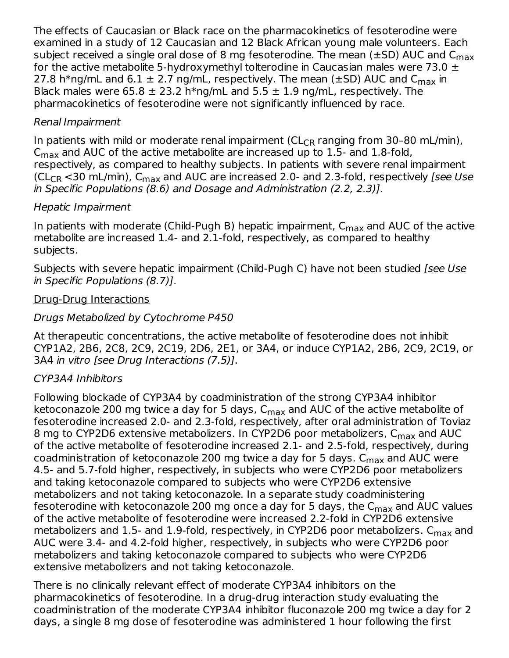The effects of Caucasian or Black race on the pharmacokinetics of fesoterodine were examined in a study of 12 Caucasian and 12 Black African young male volunteers. Each subject received a single oral dose of 8 mg fesoterodine. The mean (±SD) AUC and  $\mathsf{C}_{\mathsf{max}}$ for the active metabolite 5-hydroxymethyl tolterodine in Caucasian males were 73.0  $\pm$ 27.8 h\*ng/mL and 6.1  $\pm$  2.7 ng/mL, respectively. The mean ( $\pm$ SD) AUC and C $_{\sf max}$  in Black males were 65.8  $\pm$  23.2 h\*ng/mL and 5.5  $\pm$  1.9 ng/mL, respectively. The pharmacokinetics of fesoterodine were not significantly influenced by race.

### Renal Impairment

In patients with mild or moderate renal impairment (CL<sub>CR</sub> ranging from 30-80 mL/min),  $\mathsf{C}_{\mathsf{max}}$  and AUC of the active metabolite are increased up to 1.5- and 1.8-fold, respectively, as compared to healthy subjects. In patients with severe renal impairment (CL<sub>CR</sub> <30 mL/min), C<sub>max</sub> and AUC are increased 2.0- and 2.3-fold, respectively *[see Use* in Specific Populations (8.6) and Dosage and Administration (2.2, 2.3)].

# Hepatic Impairment

In patients with moderate (Child-Pugh B) hepatic impairment, C<sub>max</sub> and AUC of the active metabolite are increased 1.4- and 2.1-fold, respectively, as compared to healthy subjects.

Subjects with severe hepatic impairment (Child-Pugh C) have not been studied [see Use in Specific Populations (8.7)].

### Drug-Drug Interactions

# Drugs Metabolized by Cytochrome P450

At therapeutic concentrations, the active metabolite of fesoterodine does not inhibit CYP1A2, 2B6, 2C8, 2C9, 2C19, 2D6, 2E1, or 3A4, or induce CYP1A2, 2B6, 2C9, 2C19, or 3A4 in vitro [see Drug Interactions (7.5)].

# CYP3A4 Inhibitors

Following blockade of CYP3A4 by coadministration of the strong CYP3A4 inhibitor ketoconazole 200 mg twice a day for 5 days,  $\mathsf{C}_{\mathsf{max}}$  and AUC of the active metabolite of fesoterodine increased 2.0- and 2.3-fold, respectively, after oral administration of Toviaz 8 mg to CYP2D6 extensive metabolizers. In CYP2D6 poor metabolizers, C<sub>max</sub> and AUC of the active metabolite of fesoterodine increased 2.1- and 2.5-fold, respectively, during coadministration of ketoconazole 200 mg twice a day for 5 days. C<sub>max</sub> and AUC were 4.5- and 5.7-fold higher, respectively, in subjects who were CYP2D6 poor metabolizers and taking ketoconazole compared to subjects who were CYP2D6 extensive metabolizers and not taking ketoconazole. In a separate study coadministering fesoterodine with ketoconazole 200 mg once a day for 5 days, the C<sub>max</sub> and AUC values of the active metabolite of fesoterodine were increased 2.2-fold in CYP2D6 extensive metabolizers and  $1.5$ - and  $1.9$ -fold, respectively, in CYP2D6 poor metabolizers.  $\mathsf{C}_{\mathsf{max}}$  and AUC were 3.4- and 4.2-fold higher, respectively, in subjects who were CYP2D6 poor metabolizers and taking ketoconazole compared to subjects who were CYP2D6 extensive metabolizers and not taking ketoconazole.

There is no clinically relevant effect of moderate CYP3A4 inhibitors on the pharmacokinetics of fesoterodine. In a drug-drug interaction study evaluating the coadministration of the moderate CYP3A4 inhibitor fluconazole 200 mg twice a day for 2 days, a single 8 mg dose of fesoterodine was administered 1 hour following the first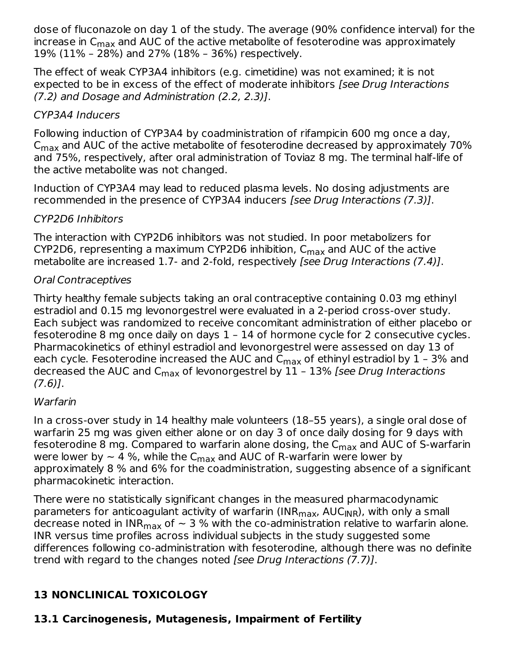dose of fluconazole on day 1 of the study. The average (90% confidence interval) for the increase in  ${\sf C}_{\sf max}$  and AUC of the active metabolite of fesoterodine was approximately 19% (11% – 28%) and 27% (18% – 36%) respectively.

The effect of weak CYP3A4 inhibitors (e.g. cimetidine) was not examined; it is not expected to be in excess of the effect of moderate inhibitors (see Drug Interactions (7.2) and Dosage and Administration (2.2, 2.3)].

### CYP3A4 Inducers

Following induction of CYP3A4 by coadministration of rifampicin 600 mg once a day,  $\mathsf{C}_{\mathsf{max}}$  and AUC of the active metabolite of fesoterodine decreased by approximately 70% and 75%, respectively, after oral administration of Toviaz 8 mg. The terminal half-life of the active metabolite was not changed.

Induction of CYP3A4 may lead to reduced plasma levels. No dosing adjustments are recommended in the presence of CYP3A4 inducers [see Drug Interactions (7.3)].

### CYP2D6 Inhibitors

The interaction with CYP2D6 inhibitors was not studied. In poor metabolizers for CYP2D6, representing a maximum CYP2D6 inhibition,  $\mathsf{C}_{\mathsf{max}}$  and AUC of the active metabolite are increased 1.7- and 2-fold, respectively [see Drug Interactions (7.4)].

### Oral Contraceptives

Thirty healthy female subjects taking an oral contraceptive containing 0.03 mg ethinyl estradiol and 0.15 mg levonorgestrel were evaluated in a 2-period cross-over study. Each subject was randomized to receive concomitant administration of either placebo or fesoterodine 8 mg once daily on days 1 – 14 of hormone cycle for 2 consecutive cycles. Pharmacokinetics of ethinyl estradiol and levonorgestrel were assessed on day 13 of each cycle. Fesoterodine increased the AUC and  $\mathsf{C}_{\mathsf{max}}$  of ethinyl estradiol by  $1$  - 3% and decreased the AUC and C<sub>max</sub> of levonorgestrel by 11 - 13% *[see Drug Interactions*  $(7.6)$ ].

#### Warfarin

In a cross-over study in 14 healthy male volunteers (18–55 years), a single oral dose of warfarin 25 mg was given either alone or on day 3 of once daily dosing for 9 days with fesoterodine 8 mg. Compared to warfarin alone dosing, the C<sub>max</sub> and AUC of S-warfarin were lower by  $\sim$  4 %, while the C $_{\sf max}$  and AUC of R-warfarin were lower by approximately 8 % and 6% for the coadministration, suggesting absence of a significant pharmacokinetic interaction.

There were no statistically significant changes in the measured pharmacodynamic parameters for anticoagulant activity of warfarin (INR<sub>max</sub>, AUC<sub>INR</sub>), with only a small decrease noted in INR $_{\sf max}$  of  $\sim$  3 % with the co-administration relative to warfarin alone. INR versus time profiles across individual subjects in the study suggested some differences following co-administration with fesoterodine, although there was no definite trend with regard to the changes noted [see Drug Interactions (7.7)].

# **13 NONCLINICAL TOXICOLOGY**

# **13.1 Carcinogenesis, Mutagenesis, Impairment of Fertility**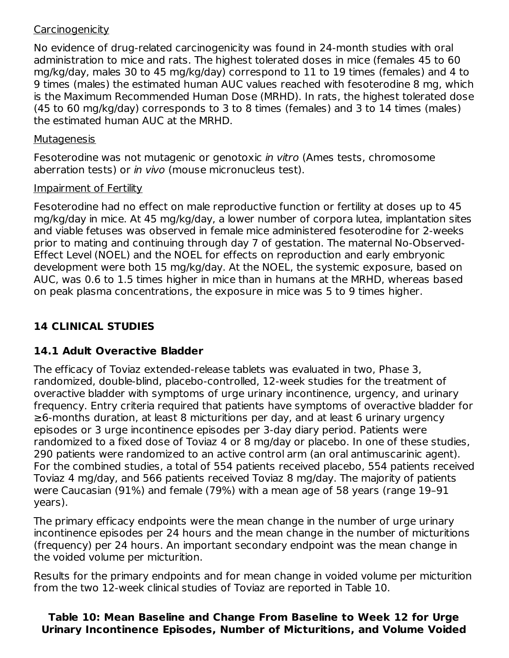#### **Carcinogenicity**

No evidence of drug-related carcinogenicity was found in 24-month studies with oral administration to mice and rats. The highest tolerated doses in mice (females 45 to 60 mg/kg/day, males 30 to 45 mg/kg/day) correspond to 11 to 19 times (females) and 4 to 9 times (males) the estimated human AUC values reached with fesoterodine 8 mg, which is the Maximum Recommended Human Dose (MRHD). In rats, the highest tolerated dose (45 to 60 mg/kg/day) corresponds to 3 to 8 times (females) and 3 to 14 times (males) the estimated human AUC at the MRHD.

#### Mutagenesis

Fesoterodine was not mutagenic or genotoxic in vitro (Ames tests, chromosome aberration tests) or in vivo (mouse micronucleus test).

### Impairment of Fertility

Fesoterodine had no effect on male reproductive function or fertility at doses up to 45 mg/kg/day in mice. At 45 mg/kg/day, a lower number of corpora lutea, implantation sites and viable fetuses was observed in female mice administered fesoterodine for 2-weeks prior to mating and continuing through day 7 of gestation. The maternal No-Observed-Effect Level (NOEL) and the NOEL for effects on reproduction and early embryonic development were both 15 mg/kg/day. At the NOEL, the systemic exposure, based on AUC, was 0.6 to 1.5 times higher in mice than in humans at the MRHD, whereas based on peak plasma concentrations, the exposure in mice was 5 to 9 times higher.

# **14 CLINICAL STUDIES**

# **14.1 Adult Overactive Bladder**

The efficacy of Toviaz extended-release tablets was evaluated in two, Phase 3, randomized, double-blind, placebo-controlled, 12-week studies for the treatment of overactive bladder with symptoms of urge urinary incontinence, urgency, and urinary frequency. Entry criteria required that patients have symptoms of overactive bladder for ≥6-months duration, at least 8 micturitions per day, and at least 6 urinary urgency episodes or 3 urge incontinence episodes per 3-day diary period. Patients were randomized to a fixed dose of Toviaz 4 or 8 mg/day or placebo. In one of these studies, 290 patients were randomized to an active control arm (an oral antimuscarinic agent). For the combined studies, a total of 554 patients received placebo, 554 patients received Toviaz 4 mg/day, and 566 patients received Toviaz 8 mg/day. The majority of patients were Caucasian (91%) and female (79%) with a mean age of 58 years (range 19–91 years).

The primary efficacy endpoints were the mean change in the number of urge urinary incontinence episodes per 24 hours and the mean change in the number of micturitions (frequency) per 24 hours. An important secondary endpoint was the mean change in the voided volume per micturition.

Results for the primary endpoints and for mean change in voided volume per micturition from the two 12-week clinical studies of Toviaz are reported in Table 10.

### **Table 10: Mean Baseline and Change From Baseline to Week 12 for Urge Urinary Incontinence Episodes, Number of Micturitions, and Volume Voided**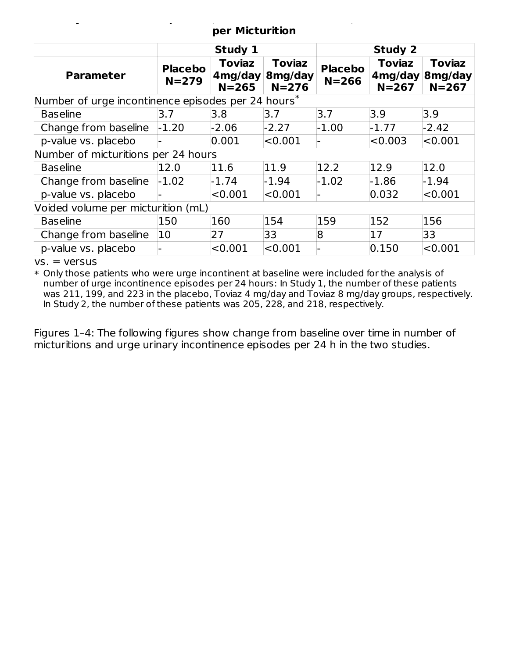#### **Urinary Incontinence Episodes, Number of Micturitions, and Volume Voided per Micturition**

|                                                        | Study 1                     |                                       |                                       | <b>Study 2</b>              |                                       |                                       |
|--------------------------------------------------------|-----------------------------|---------------------------------------|---------------------------------------|-----------------------------|---------------------------------------|---------------------------------------|
| <b>Parameter</b>                                       | <b>Placebo</b><br>$N = 279$ | <b>Toviaz</b><br>4mg/day<br>$N = 265$ | <b>Toviaz</b><br>8mg/day<br>$N = 276$ | <b>Placebo</b><br>$N = 266$ | <b>Toviaz</b><br>4mg/day<br>$N = 267$ | <b>Toviaz</b><br>8mg/day<br>$N = 267$ |
| Number of urge incontinence episodes per 24 hours $^*$ |                             |                                       |                                       |                             |                                       |                                       |
| <b>Baseline</b>                                        | 3.7                         | 3.8                                   | 3.7                                   | 3.7                         | 3.9                                   | 3.9                                   |
| Change from baseline                                   | $-1.20$                     | $-2.06$                               | $-2.27$                               | $-1.00$                     | $-1.77$                               | $-2.42$                               |
| p-value vs. placebo                                    |                             | 0.001                                 | < 0.001                               |                             | < 0.003                               | < 0.001                               |
| Number of micturitions per 24 hours                    |                             |                                       |                                       |                             |                                       |                                       |
| <b>Baseline</b>                                        | 12.0                        | 11.6                                  | 11.9                                  | 12.2                        | 12.9                                  | 12.0                                  |
| Change from baseline                                   | $-1.02$                     | $-1.74$                               | $-1.94$                               | $-1.02$                     | $-1.86$                               | $-1.94$                               |
| p-value vs. placebo                                    |                             | < 0.001                               | < 0.001                               |                             | 0.032                                 | < 0.001                               |
| Voided volume per micturition (mL)                     |                             |                                       |                                       |                             |                                       |                                       |
| <b>Baseline</b>                                        | 150                         | 160                                   | 154                                   | 159                         | 152                                   | 156                                   |
| Change from baseline                                   | 10                          | 27                                    | 33                                    | 8                           | 17                                    | 33                                    |
| p-value vs. placebo                                    |                             | < 0.001                               | < 0.001                               |                             | 0.150                                 | < 0.001                               |

 $vs. = versus$ 

 $\ast$  Only those patients who were urge incontinent at baseline were included for the analysis of number of urge incontinence episodes per 24 hours: In Study 1, the number of these patients was 211, 199, and 223 in the placebo, Toviaz 4 mg/day and Toviaz 8 mg/day groups, respectively. In Study 2, the number of these patients was 205, 228, and 218, respectively.

Figures 1–4: The following figures show change from baseline over time in number of micturitions and urge urinary incontinence episodes per 24 h in the two studies.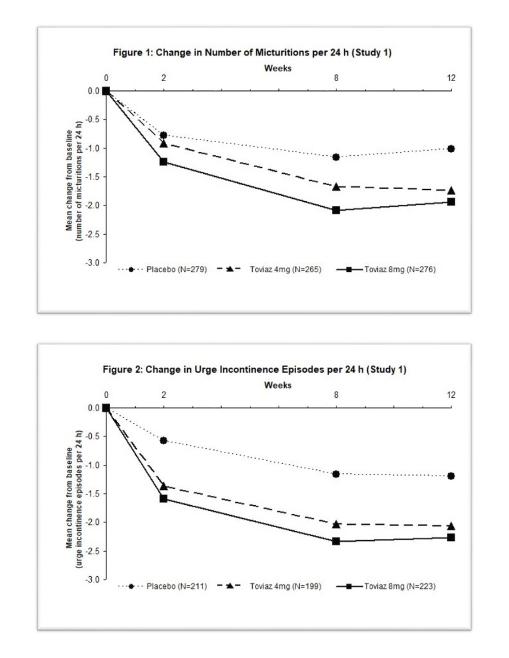

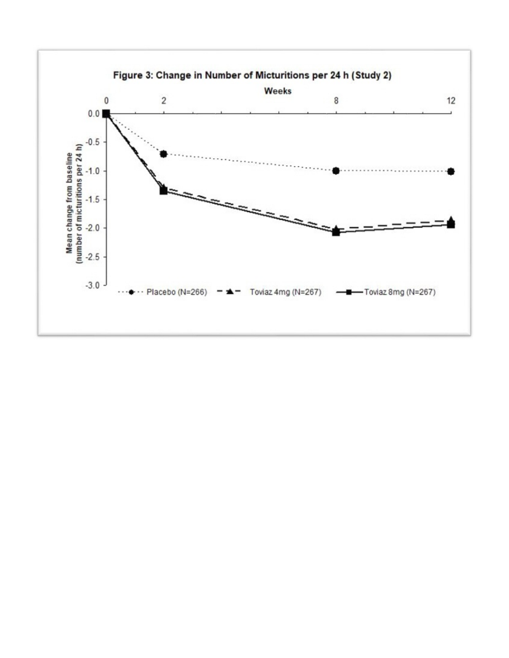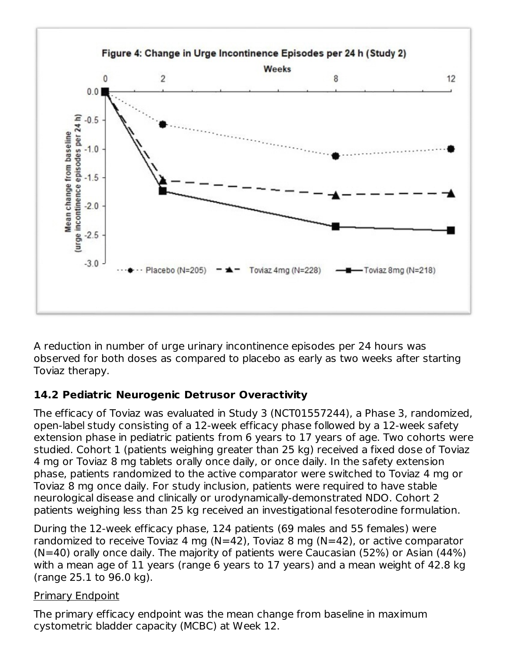

A reduction in number of urge urinary incontinence episodes per 24 hours was observed for both doses as compared to placebo as early as two weeks after starting Toviaz therapy.

# **14.2 Pediatric Neurogenic Detrusor Overactivity**

The efficacy of Toviaz was evaluated in Study 3 (NCT01557244), a Phase 3, randomized, open-label study consisting of a 12-week efficacy phase followed by a 12-week safety extension phase in pediatric patients from 6 years to 17 years of age. Two cohorts were studied. Cohort 1 (patients weighing greater than 25 kg) received a fixed dose of Toviaz 4 mg or Toviaz 8 mg tablets orally once daily, or once daily. In the safety extension phase, patients randomized to the active comparator were switched to Toviaz 4 mg or Toviaz 8 mg once daily. For study inclusion, patients were required to have stable neurological disease and clinically or urodynamically-demonstrated NDO. Cohort 2 patients weighing less than 25 kg received an investigational fesoterodine formulation.

During the 12-week efficacy phase, 124 patients (69 males and 55 females) were randomized to receive Toviaz 4 mg (N=42), Toviaz 8 mg (N=42), or active comparator (N=40) orally once daily. The majority of patients were Caucasian (52%) or Asian (44%) with a mean age of 11 years (range 6 years to 17 years) and a mean weight of 42.8 kg (range 25.1 to 96.0 kg).

# Primary Endpoint

The primary efficacy endpoint was the mean change from baseline in maximum cystometric bladder capacity (MCBC) at Week 12.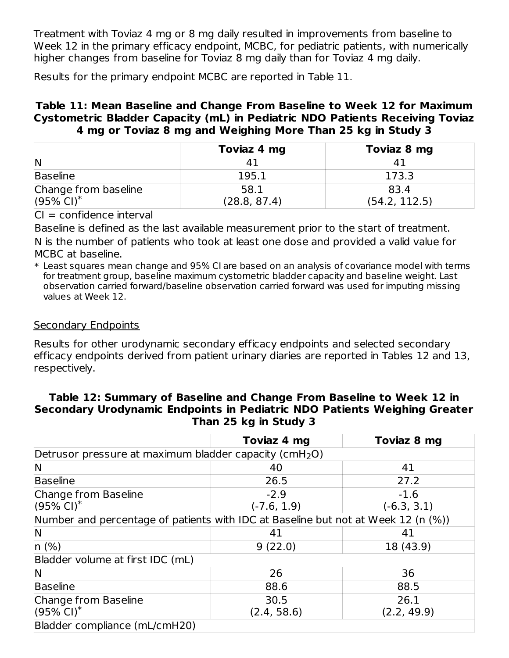Treatment with Toviaz 4 mg or 8 mg daily resulted in improvements from baseline to Week 12 in the primary efficacy endpoint, MCBC, for pediatric patients, with numerically higher changes from baseline for Toviaz 8 mg daily than for Toviaz 4 mg daily.

Results for the primary endpoint MCBC are reported in Table 11.

#### **Table 11: Mean Baseline and Change From Baseline to Week 12 for Maximum Cystometric Bladder Capacity (mL) in Pediatric NDO Patients Receiving Toviaz 4 mg or Toviaz 8 mg and Weighing More Than 25 kg in Study 3**

|                          | Toviaz 4 mg  | Toviaz 8 mg   |
|--------------------------|--------------|---------------|
| IN                       |              |               |
| Baseline                 | 195.1        | 173.3         |
| Change from baseline     | 58.1         | 83.4          |
| $(95\%$ CI) <sup>*</sup> | (28.8, 87.4) | (54.2, 112.5) |

 $CI = confidence$  interval

Baseline is defined as the last available measurement prior to the start of treatment. N is the number of patients who took at least one dose and provided a valid value for MCBC at baseline.

 $\ast$  Least squares mean change and 95% CI are based on an analysis of covariance model with terms for treatment group, baseline maximum cystometric bladder capacity and baseline weight. Last observation carried forward/baseline observation carried forward was used for imputing missing values at Week 12.

#### Secondary Endpoints

Results for other urodynamic secondary efficacy endpoints and selected secondary efficacy endpoints derived from patient urinary diaries are reported in Tables 12 and 13, respectively.

#### **Table 12: Summary of Baseline and Change From Baseline to Week 12 in Secondary Urodynamic Endpoints in Pediatric NDO Patients Weighing Greater Than 25 kg in Study 3**

|                                                                                   | Toviaz 4 mg   | Toviaz 8 mg   |
|-----------------------------------------------------------------------------------|---------------|---------------|
| Detrusor pressure at maximum bladder capacity (cmH <sub>2</sub> O)                |               |               |
| N                                                                                 | 40            | 41            |
| <b>Baseline</b>                                                                   | 26.5          | 27.2          |
| Change from Baseline                                                              | $-2.9$        | $-1.6$        |
| $(95\% \text{ Cl})^*$                                                             | $(-7.6, 1.9)$ | $(-6.3, 3.1)$ |
| Number and percentage of patients with IDC at Baseline but not at Week 12 (n (%)) |               |               |
| N                                                                                 | 41            | 41            |
| $n(\%)$                                                                           | 9(22.0)       | 18 (43.9)     |
| Bladder volume at first IDC (mL)                                                  |               |               |
| N                                                                                 | 26            | 36            |
| <b>Baseline</b>                                                                   | 88.6          | 88.5          |
| Change from Baseline                                                              | 30.5          | 26.1          |
| $(95\% \text{ Cl})^*$                                                             | (2.4, 58.6)   | (2.2, 49.9)   |
| Bladder compliance (mL/cmH20)                                                     |               |               |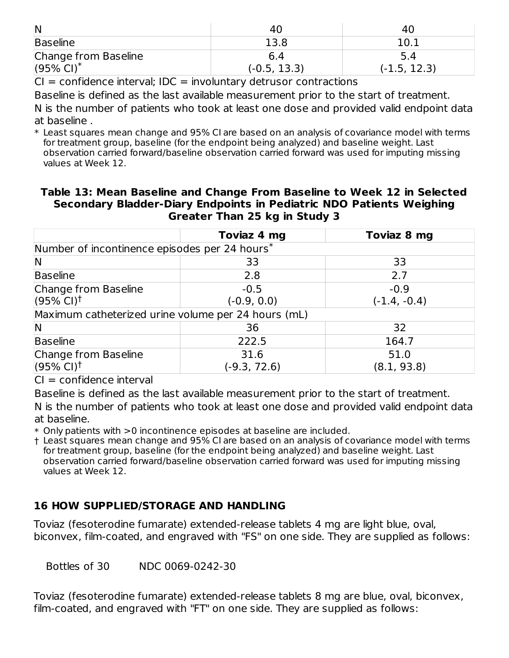| $\overline{\mathsf{N}}$  |                | 40.            |
|--------------------------|----------------|----------------|
| Baseline                 | 13.8           | 10.7           |
| Change from Baseline     | 6.4            | 5.4            |
| $(95\%$ CI) <sup>*</sup> | $(-0.5, 13.3)$ | $(-1.5, 12.3)$ |

 $CI = confidence$  interval;  $IDC = involutary$  detrusor contractions

Baseline is defined as the last available measurement prior to the start of treatment. N is the number of patients who took at least one dose and provided valid endpoint data

at baseline .

\* Least squares mean change and 95% CI are based on an analysis of covariance model with terms for treatment group, baseline (for the endpoint being analyzed) and baseline weight. Last observation carried forward/baseline observation carried forward was used for imputing missing values at Week 12.

#### **Table 13: Mean Baseline and Change From Baseline to Week 12 in Selected Secondary Bladder-Diary Endpoints in Pediatric NDO Patients Weighing Greater Than 25 kg in Study 3**

|                                                     | Toviaz 4 mg   | Toviaz 8 mg    |
|-----------------------------------------------------|---------------|----------------|
| Number of incontinence episodes per 24 hours*       |               |                |
| $\mathsf{\mathsf{N}}$                               | 33            | 33             |
| Baseline                                            | 2.8           | 2.7            |
| Change from Baseline                                | $-0.5$        | $-0.9$         |
| $(95%$ CI) <sup>†</sup>                             | $(-0.9, 0.0)$ | $(-1.4, -0.4)$ |
| Maximum catheterized urine volume per 24 hours (mL) |               |                |
| IN                                                  | 36            | 32             |
| Baseline                                            | 222.5         | 164.7          |
| Change from Baseline                                | 31.6          | 51.0           |
| $(95\% \text{ Cl})^{\dagger}$                       | (-9.3, 72.6)  | (8.1, 93.8)    |

 $CI = confidence$  interval

Baseline is defined as the last available measurement prior to the start of treatment.

N is the number of patients who took at least one dose and provided valid endpoint data at baseline.

\* Only patients with >0 incontinence episodes at baseline are included.

† Least squares mean change and 95% CI are based on an analysis of covariance model with terms for treatment group, baseline (for the endpoint being analyzed) and baseline weight. Last observation carried forward/baseline observation carried forward was used for imputing missing values at Week 12.

# **16 HOW SUPPLIED/STORAGE AND HANDLING**

Toviaz (fesoterodine fumarate) extended-release tablets 4 mg are light blue, oval, biconvex, film-coated, and engraved with "FS" on one side. They are supplied as follows:

Bottles of 30 NDC 0069-0242-30

Toviaz (fesoterodine fumarate) extended-release tablets 8 mg are blue, oval, biconvex, film-coated, and engraved with "FT" on one side. They are supplied as follows: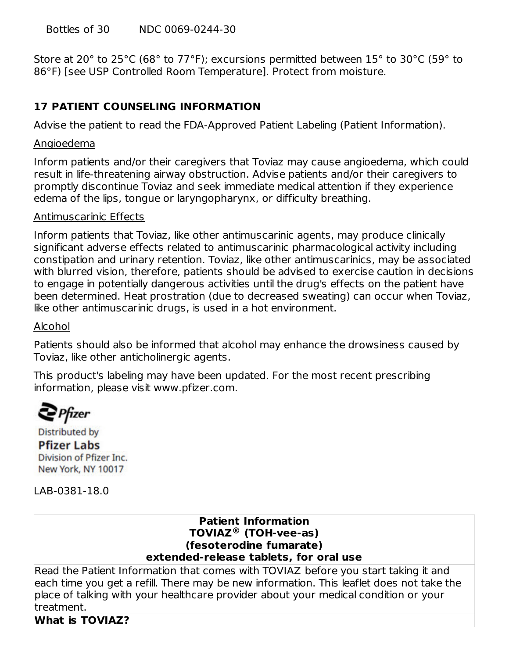Bottles of 30 NDC 0069-0244-30

Store at 20° to 25°C (68° to 77°F); excursions permitted between 15° to 30°C (59° to 86°F) [see USP Controlled Room Temperature]. Protect from moisture.

# **17 PATIENT COUNSELING INFORMATION**

Advise the patient to read the FDA-Approved Patient Labeling (Patient Information).

#### Angioedema

Inform patients and/or their caregivers that Toviaz may cause angioedema, which could result in life-threatening airway obstruction. Advise patients and/or their caregivers to promptly discontinue Toviaz and seek immediate medical attention if they experience edema of the lips, tongue or laryngopharynx, or difficulty breathing.

#### Antimuscarinic Effects

Inform patients that Toviaz, like other antimuscarinic agents, may produce clinically significant adverse effects related to antimuscarinic pharmacological activity including constipation and urinary retention. Toviaz, like other antimuscarinics, may be associated with blurred vision, therefore, patients should be advised to exercise caution in decisions to engage in potentially dangerous activities until the drug's effects on the patient have been determined. Heat prostration (due to decreased sweating) can occur when Toviaz, like other antimuscarinic drugs, is used in a hot environment.

#### Alcohol

Patients should also be informed that alcohol may enhance the drowsiness caused by Toviaz, like other anticholinergic agents.

This product's labeling may have been updated. For the most recent prescribing information, please visit www.pfizer.com.

 $\mathbf{P}$ Pfizer

**Distributed by Pfizer Labs** Division of Pfizer Inc. New York, NY 10017

LAB-0381-18.0

#### **Patient Information TOVIAZ (TOH-vee-as) ®(fesoterodine fumarate) extended-release tablets, for oral use**

Read the Patient Information that comes with TOVIAZ before you start taking it and each time you get a refill. There may be new information. This leaflet does not take the place of talking with your healthcare provider about your medical condition or your treatment.

#### **What is TOVIAZ?**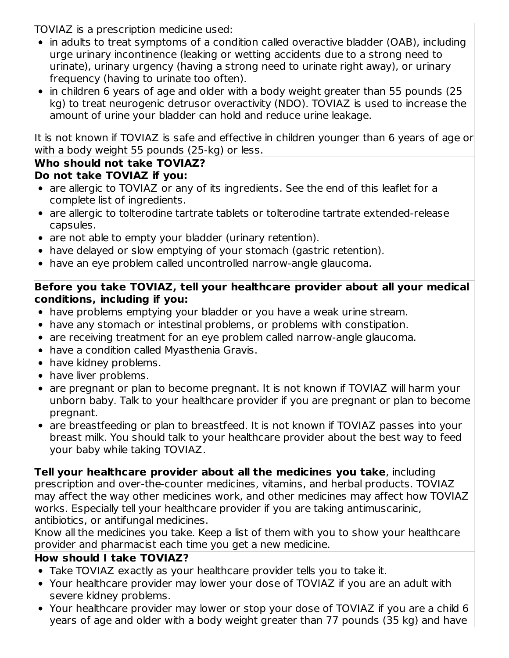TOVIAZ is a prescription medicine used:

- in adults to treat symptoms of a condition called overactive bladder (OAB), including urge urinary incontinence (leaking or wetting accidents due to a strong need to urinate), urinary urgency (having a strong need to urinate right away), or urinary frequency (having to urinate too often).
- in children 6 years of age and older with a body weight greater than 55 pounds (25 kg) to treat neurogenic detrusor overactivity (NDO). TOVIAZ is used to increase the amount of urine your bladder can hold and reduce urine leakage.

It is not known if TOVIAZ is safe and effective in children younger than 6 years of age or with a body weight 55 pounds (25-kg) or less.

# **Who should not take TOVIAZ?**

- **Do not take TOVIAZ if you:**
- are allergic to TOVIAZ or any of its ingredients. See the end of this leaflet for a complete list of ingredients.
- are allergic to tolterodine tartrate tablets or tolterodine tartrate extended-release capsules.
- are not able to empty your bladder (urinary retention).
- have delayed or slow emptying of your stomach (gastric retention).
- have an eye problem called uncontrolled narrow-angle glaucoma.

### **Before you take TOVIAZ, tell your healthcare provider about all your medical conditions, including if you:**

- have problems emptying your bladder or you have a weak urine stream.
- have any stomach or intestinal problems, or problems with constipation.
- are receiving treatment for an eye problem called narrow-angle glaucoma.
- have a condition called Myasthenia Gravis.
- have kidney problems.
- have liver problems.
- are pregnant or plan to become pregnant. It is not known if TOVIAZ will harm your unborn baby. Talk to your healthcare provider if you are pregnant or plan to become pregnant.
- are breastfeeding or plan to breastfeed. It is not known if TOVIAZ passes into your breast milk. You should talk to your healthcare provider about the best way to feed your baby while taking TOVIAZ.

**Tell your healthcare provider about all the medicines you take**, including

prescription and over-the-counter medicines, vitamins, and herbal products. TOVIAZ may affect the way other medicines work, and other medicines may affect how TOVIAZ works. Especially tell your healthcare provider if you are taking antimuscarinic, antibiotics, or antifungal medicines.

Know all the medicines you take. Keep a list of them with you to show your healthcare provider and pharmacist each time you get a new medicine.

# **How should I take TOVIAZ?**

- Take TOVIAZ exactly as your healthcare provider tells you to take it.
- Your healthcare provider may lower your dose of TOVIAZ if you are an adult with severe kidney problems.
- Your healthcare provider may lower or stop your dose of TOVIAZ if you are a child 6 years of age and older with a body weight greater than 77 pounds (35 kg) and have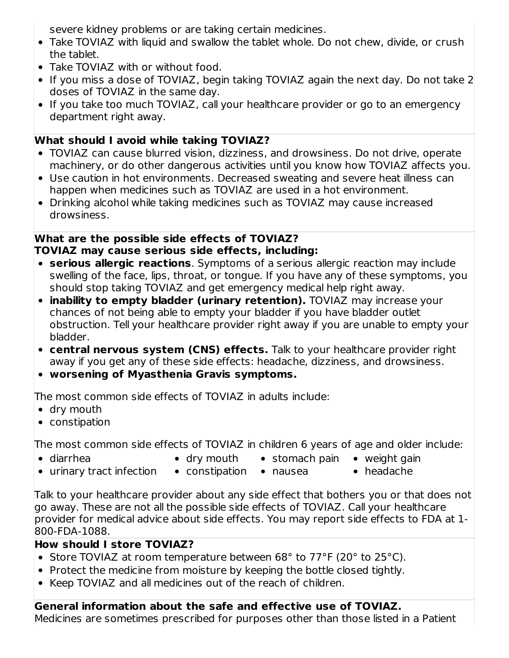severe kidney problems or are taking certain medicines.

- Take TOVIAZ with liquid and swallow the tablet whole. Do not chew, divide, or crush the tablet.
- Take TOVIAZ with or without food.
- If you miss a dose of TOVIAZ, begin taking TOVIAZ again the next day. Do not take 2 doses of TOVIAZ in the same day.
- If you take too much TOVIAZ, call your healthcare provider or go to an emergency department right away.

# **What should I avoid while taking TOVIAZ?**

- TOVIAZ can cause blurred vision, dizziness, and drowsiness. Do not drive, operate machinery, or do other dangerous activities until you know how TOVIAZ affects you.
- Use caution in hot environments. Decreased sweating and severe heat illness can happen when medicines such as TOVIAZ are used in a hot environment.
- Drinking alcohol while taking medicines such as TOVIAZ may cause increased drowsiness.

# **What are the possible side effects of TOVIAZ? TOVIAZ may cause serious side effects, including:**

- **serious allergic reactions**. Symptoms of a serious allergic reaction may include swelling of the face, lips, throat, or tongue. If you have any of these symptoms, you should stop taking TOVIAZ and get emergency medical help right away.
- **inability to empty bladder (urinary retention).** TOVIAZ may increase your chances of not being able to empty your bladder if you have bladder outlet obstruction. Tell your healthcare provider right away if you are unable to empty your bladder.
- **central nervous system (CNS) effects.** Talk to your healthcare provider right away if you get any of these side effects: headache, dizziness, and drowsiness.
- **worsening of Myasthenia Gravis symptoms.**

The most common side effects of TOVIAZ in adults include:

- dry mouth
- constipation

The most common side effects of TOVIAZ in children 6 years of age and older include:

diarrhea

- dry mouth
- stomach pain  $\bullet$  weight gain
- urinary tract infection
	- constipation nausea
- headache

Talk to your healthcare provider about any side effect that bothers you or that does not go away. These are not all the possible side effects of TOVIAZ. Call your healthcare provider for medical advice about side effects. You may report side effects to FDA at 1- 800-FDA-1088.

# **How should I store TOVIAZ?**

- Store TOVIAZ at room temperature between 68° to 77°F (20° to 25°C).
- Protect the medicine from moisture by keeping the bottle closed tightly.
- Keep TOVIAZ and all medicines out of the reach of children.

# **General information about the safe and effective use of TOVIAZ.**

Medicines are sometimes prescribed for purposes other than those listed in a Patient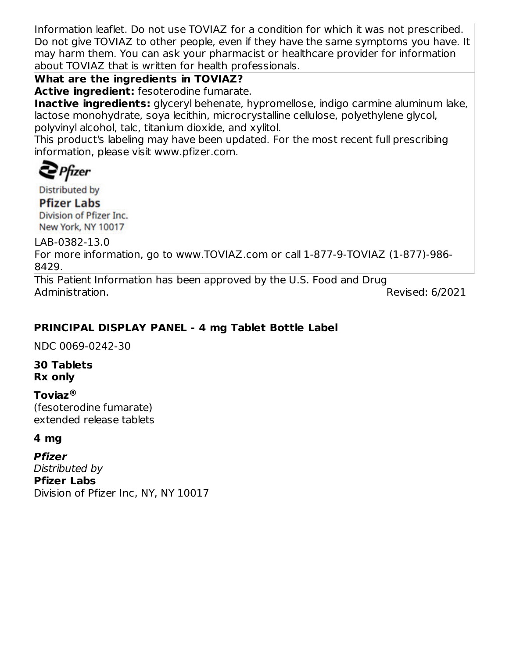Information leaflet. Do not use TOVIAZ for a condition for which it was not prescribed. Do not give TOVIAZ to other people, even if they have the same symptoms you have. It may harm them. You can ask your pharmacist or healthcare provider for information about TOVIAZ that is written for health professionals.

# **What are the ingredients in TOVIAZ?**

**Active ingredient:** fesoterodine fumarate.

**Inactive ingredients:** glyceryl behenate, hypromellose, indigo carmine aluminum lake, lactose monohydrate, soya lecithin, microcrystalline cellulose, polyethylene glycol, polyvinyl alcohol, talc, titanium dioxide, and xylitol.

This product's labeling may have been updated. For the most recent full prescribing information, please visit www.pfizer.com.

 $\sum$  Pfizer

**Distributed by** 

**Pfizer Labs** Division of Pfizer Inc. New York, NY 10017

LAB-0382-13.0 For more information, go to www.TOVIAZ.com or call 1-877-9-TOVIAZ (1-877)-986- 8429.

This Patient Information has been approved by the U.S. Food and Drug Administration. **Administration** 20021

# **PRINCIPAL DISPLAY PANEL - 4 mg Tablet Bottle Label**

NDC 0069-0242-30

### **30 Tablets Rx only**

# **Toviaz ®**

(fesoterodine fumarate) extended release tablets

#### **4 mg**

**Pfizer** Distributed by **Pfizer Labs** Division of Pfizer Inc, NY, NY 10017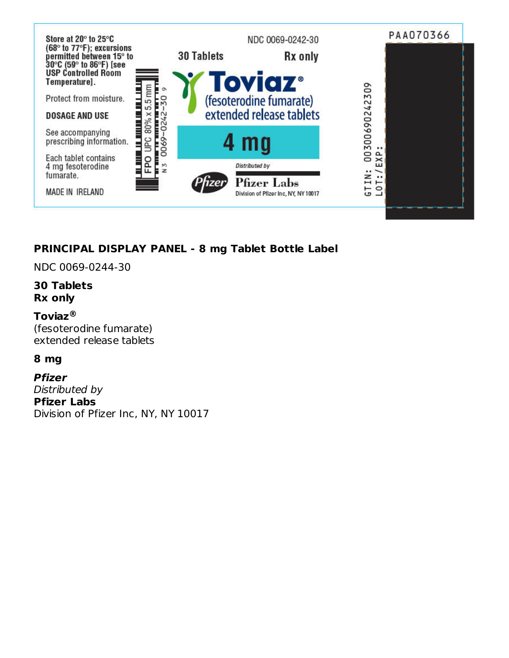

# **PRINCIPAL DISPLAY PANEL - 8 mg Tablet Bottle Label**

NDC 0069-0244-30

#### **30 Tablets Rx only**

#### **Toviaz ®**

(fesoterodine fumarate) extended release tablets

#### **8 mg**

**Pfizer** Distributed by **Pfizer Labs** Division of Pfizer Inc, NY, NY 10017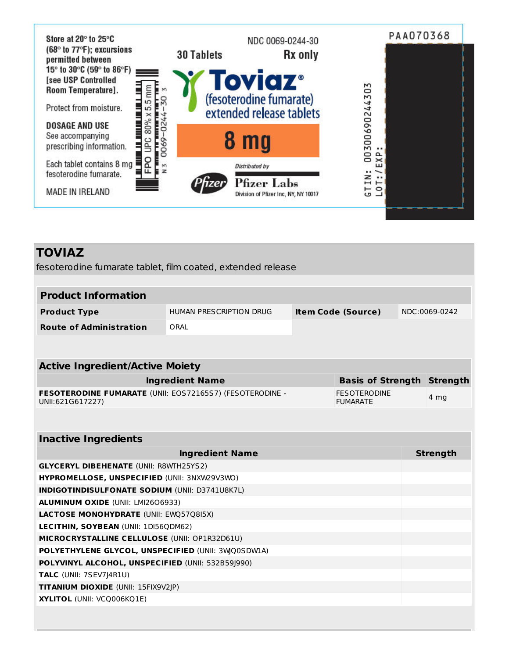

| <b>TOVIAZ</b>                                                                      |                                                      |  |                                        |               |                 |
|------------------------------------------------------------------------------------|------------------------------------------------------|--|----------------------------------------|---------------|-----------------|
| fesoterodine fumarate tablet, film coated, extended release                        |                                                      |  |                                        |               |                 |
|                                                                                    |                                                      |  |                                        |               |                 |
| <b>Product Information</b>                                                         |                                                      |  |                                        |               |                 |
| <b>Product Type</b>                                                                | HUMAN PRESCRIPTION DRUG<br><b>Item Code (Source)</b> |  |                                        | NDC:0069-0242 |                 |
| <b>Route of Administration</b>                                                     | ORAL                                                 |  |                                        |               |                 |
|                                                                                    |                                                      |  |                                        |               |                 |
|                                                                                    |                                                      |  |                                        |               |                 |
| <b>Active Ingredient/Active Moiety</b>                                             |                                                      |  |                                        |               |                 |
|                                                                                    | <b>Ingredient Name</b>                               |  | <b>Basis of Strength Strength</b>      |               |                 |
| FESOTERODINE FUMARATE (UNII: EOS72165S7) (FESOTERODINE -<br>UNII:621G617227)       |                                                      |  | <b>FESOTERODINE</b><br><b>FUMARATE</b> |               | 4 mg            |
|                                                                                    |                                                      |  |                                        |               |                 |
|                                                                                    |                                                      |  |                                        |               |                 |
| <b>Inactive Ingredients</b>                                                        |                                                      |  |                                        |               |                 |
|                                                                                    | <b>Ingredient Name</b>                               |  |                                        |               | <b>Strength</b> |
| <b>GLYCERYL DIBEHENATE (UNII: R8WTH25YS2)</b>                                      |                                                      |  |                                        |               |                 |
| HYPROMELLOSE, UNSPECIFIED (UNII: 3NXW29V3WO)                                       |                                                      |  |                                        |               |                 |
| INDIGOTINDISULFONATE SODIUM (UNII: D3741U8K7L)                                     |                                                      |  |                                        |               |                 |
| <b>ALUMINUM OXIDE (UNII: LMI2606933)</b><br>LACTOSE MONOHYDRATE (UNII: EWQ57Q8I5X) |                                                      |  |                                        |               |                 |
| LECITHIN, SOYBEAN (UNII: 1DI56QDM62)                                               |                                                      |  |                                        |               |                 |
| MICROCRYSTALLINE CELLULOSE (UNII: OP1R32D61U)                                      |                                                      |  |                                        |               |                 |
| POLYETHYLENE GLYCOL, UNSPECIFIED (UNII: 3WQ0SDW1A)                                 |                                                      |  |                                        |               |                 |
| POLYVINYL ALCOHOL, UNSPECIFIED (UNII: 532B59J990)                                  |                                                      |  |                                        |               |                 |
| TALC (UNII: 7SEV7J4R1U)                                                            |                                                      |  |                                        |               |                 |
| TITANIUM DIOXIDE (UNII: 15FIX9V2JP)                                                |                                                      |  |                                        |               |                 |
| XYLITOL (UNII: VCQ006KQ1E)                                                         |                                                      |  |                                        |               |                 |
|                                                                                    |                                                      |  |                                        |               |                 |
|                                                                                    |                                                      |  |                                        |               |                 |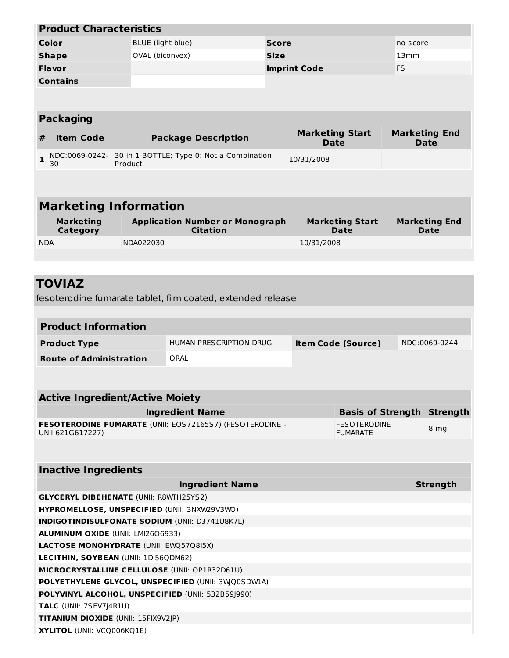| <b>Product Characteristics</b>                                                             |                   |                                                             |  |                     |                                       |           |                                     |
|--------------------------------------------------------------------------------------------|-------------------|-------------------------------------------------------------|--|---------------------|---------------------------------------|-----------|-------------------------------------|
| Color                                                                                      | BLUE (light blue) | <b>Score</b>                                                |  |                     |                                       | no score  |                                     |
| <b>Shape</b>                                                                               |                   | OVAL (biconvex)                                             |  | <b>Size</b>         |                                       | 13mm      |                                     |
| <b>Flavor</b>                                                                              |                   |                                                             |  | <b>Imprint Code</b> |                                       | <b>FS</b> |                                     |
| <b>Contains</b>                                                                            |                   |                                                             |  |                     |                                       |           |                                     |
|                                                                                            |                   |                                                             |  |                     |                                       |           |                                     |
|                                                                                            |                   |                                                             |  |                     |                                       |           |                                     |
| <b>Packaging</b>                                                                           |                   |                                                             |  |                     |                                       |           |                                     |
| <b>Item Code</b><br>#                                                                      |                   | <b>Package Description</b>                                  |  |                     | <b>Marketing Start</b><br><b>Date</b> |           | <b>Marketing End</b><br><b>Date</b> |
| NDC:0069-0242-<br>$\mathbf{1}$                                                             |                   | 30 in 1 BOTTLE; Type 0: Not a Combination                   |  | 10/31/2008          |                                       |           |                                     |
| 30                                                                                         | Product           |                                                             |  |                     |                                       |           |                                     |
|                                                                                            |                   |                                                             |  |                     |                                       |           |                                     |
|                                                                                            |                   |                                                             |  |                     |                                       |           |                                     |
| <b>Marketing Information</b>                                                               |                   |                                                             |  |                     |                                       |           |                                     |
| <b>Marketing</b><br>Category                                                               |                   | <b>Application Number or Monograph</b><br><b>Citation</b>   |  |                     | <b>Marketing Start</b><br>Date        |           | <b>Marketing End</b><br><b>Date</b> |
| <b>NDA</b>                                                                                 | NDA022030         |                                                             |  | 10/31/2008          |                                       |           |                                     |
|                                                                                            |                   |                                                             |  |                     |                                       |           |                                     |
|                                                                                            |                   |                                                             |  |                     |                                       |           |                                     |
| <b>TOVIAZ</b>                                                                              |                   |                                                             |  |                     |                                       |           |                                     |
|                                                                                            |                   | fesoterodine fumarate tablet, film coated, extended release |  |                     |                                       |           |                                     |
|                                                                                            |                   |                                                             |  |                     |                                       |           |                                     |
| <b>Product Information</b>                                                                 |                   |                                                             |  |                     |                                       |           |                                     |
| <b>Product Type</b>                                                                        |                   | HUMAN PRESCRIPTION DRUG                                     |  |                     | <b>Item Code (Source)</b>             |           | NDC:0069-0244                       |
| <b>Route of Administration</b>                                                             |                   | ORAL                                                        |  |                     |                                       |           |                                     |
|                                                                                            |                   |                                                             |  |                     |                                       |           |                                     |
|                                                                                            |                   |                                                             |  |                     |                                       |           |                                     |
| <b>Active Ingredient/Active Moiety</b>                                                     |                   |                                                             |  |                     |                                       |           |                                     |
|                                                                                            |                   | <b>Ingredient Name</b>                                      |  |                     | <b>Basis of Strength Strength</b>     |           |                                     |
|                                                                                            |                   | FESOTERODINE FUMARATE (UNII: EOS72165S7) (FESOTERODINE -    |  |                     | <b>FESOTERODINE</b>                   |           |                                     |
| UNII:621G617227)                                                                           |                   |                                                             |  |                     | <b>FUMARATE</b>                       |           | 8 mg                                |
|                                                                                            |                   |                                                             |  |                     |                                       |           |                                     |
|                                                                                            |                   |                                                             |  |                     |                                       |           |                                     |
| <b>Inactive Ingredients</b>                                                                |                   |                                                             |  |                     |                                       |           |                                     |
| <b>Ingredient Name</b>                                                                     |                   |                                                             |  | <b>Strength</b>     |                                       |           |                                     |
| <b>GLYCERYL DIBEHENATE (UNII: R8WTH25YS2)</b>                                              |                   |                                                             |  |                     |                                       |           |                                     |
| HYPROMELLOSE, UNSPECIFIED (UNII: 3NXW29V3WO)                                               |                   |                                                             |  |                     |                                       |           |                                     |
| <b>INDIGOTINDISULFONATE SODIUM (UNII: D3741U8K7L)</b><br>ALUMINUM OXIDE (UNII: LMI2606933) |                   |                                                             |  |                     |                                       |           |                                     |
| <b>LACTOSE MONOHYDRATE (UNII: EWQ57Q8I5X)</b>                                              |                   |                                                             |  |                     |                                       |           |                                     |
| LECITHIN, SOYBEAN (UNII: 1DI56QDM62)                                                       |                   |                                                             |  |                     |                                       |           |                                     |
| MICROCRYSTALLINE CELLULOSE (UNII: OP1R32D61U)                                              |                   |                                                             |  |                     |                                       |           |                                     |
|                                                                                            |                   | POLYETHYLENE GLYCOL, UNSPECIFIED (UNII: 3WQ0SDWIA)          |  |                     |                                       |           |                                     |
|                                                                                            |                   | POLYVINYL ALCOHOL, UNSPECIFIED (UNII: 532B59J990)           |  |                     |                                       |           |                                     |
| TALC (UNII: 7SEV7J4R1U)                                                                    |                   |                                                             |  |                     |                                       |           |                                     |

**TITANIUM DIOXIDE** (UNII: 15FIX9V2JP)

**XYLITOL** (UNII: VCQ006KQ1E)